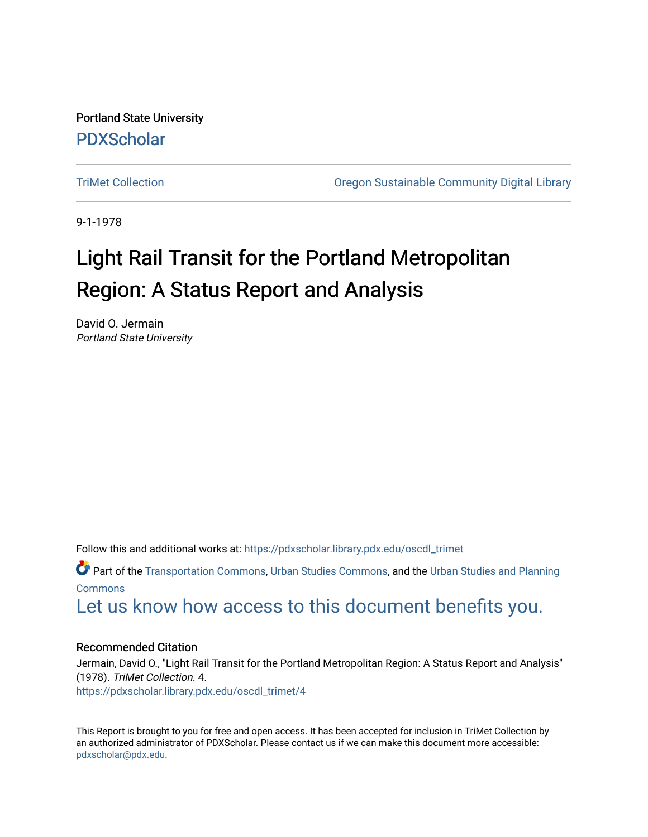Portland State University [PDXScholar](https://pdxscholar.library.pdx.edu/)

[TriMet Collection](https://pdxscholar.library.pdx.edu/oscdl_trimet) [Oregon Sustainable Community Digital Library](https://pdxscholar.library.pdx.edu/oscdl) 

9-1-1978

# Light Rail Transit for the Portland Metropolitan Region: A Status Report and Analysis

David O. Jermain Portland State University

Follow this and additional works at: [https://pdxscholar.library.pdx.edu/oscdl\\_trimet](https://pdxscholar.library.pdx.edu/oscdl_trimet?utm_source=pdxscholar.library.pdx.edu%2Foscdl_trimet%2F4&utm_medium=PDF&utm_campaign=PDFCoverPages)

Part of the [Transportation Commons](http://network.bepress.com/hgg/discipline/1068?utm_source=pdxscholar.library.pdx.edu%2Foscdl_trimet%2F4&utm_medium=PDF&utm_campaign=PDFCoverPages), [Urban Studies Commons](http://network.bepress.com/hgg/discipline/402?utm_source=pdxscholar.library.pdx.edu%2Foscdl_trimet%2F4&utm_medium=PDF&utm_campaign=PDFCoverPages), and the [Urban Studies and Planning](http://network.bepress.com/hgg/discipline/436?utm_source=pdxscholar.library.pdx.edu%2Foscdl_trimet%2F4&utm_medium=PDF&utm_campaign=PDFCoverPages)  [Commons](http://network.bepress.com/hgg/discipline/436?utm_source=pdxscholar.library.pdx.edu%2Foscdl_trimet%2F4&utm_medium=PDF&utm_campaign=PDFCoverPages)

[Let us know how access to this document benefits you.](http://library.pdx.edu/services/pdxscholar-services/pdxscholar-feedback/?ref=https://pdxscholar.library.pdx.edu/oscdl_trimet/4) 

# Recommended Citation

Jermain, David O., "Light Rail Transit for the Portland Metropolitan Region: A Status Report and Analysis" (1978). TriMet Collection. 4. [https://pdxscholar.library.pdx.edu/oscdl\\_trimet/4](https://pdxscholar.library.pdx.edu/oscdl_trimet/4?utm_source=pdxscholar.library.pdx.edu%2Foscdl_trimet%2F4&utm_medium=PDF&utm_campaign=PDFCoverPages) 

This Report is brought to you for free and open access. It has been accepted for inclusion in TriMet Collection by an authorized administrator of PDXScholar. Please contact us if we can make this document more accessible: [pdxscholar@pdx.edu.](mailto:pdxscholar@pdx.edu)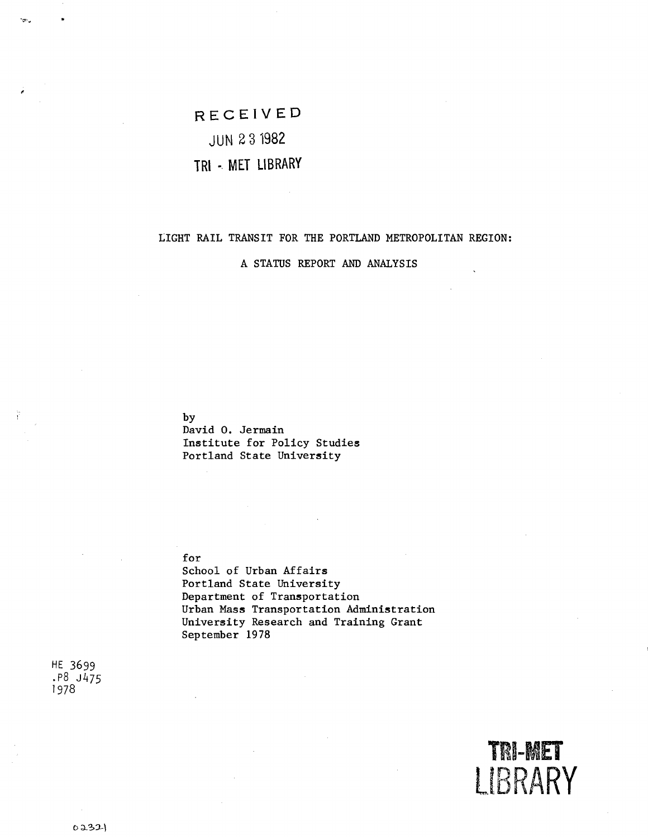**RECEIVED** 

# JUN 2 3 1982

# **TRl -. MET LIBRARY**

# LIGHT RAIL TRANSIT FOR THE PORTLAND METROPOLITAN REGION:

A STATUS REPORT AND ANALYSIS

by

David 0. Jermain Institute for Policy Studies Portland State University

#### for

School of Urban Affairs Portland State University Department of Transportation Urban Mass Transportation Administration University Research and Training Grant September 1978

HE 3699 .P8 J475 1978

ነው።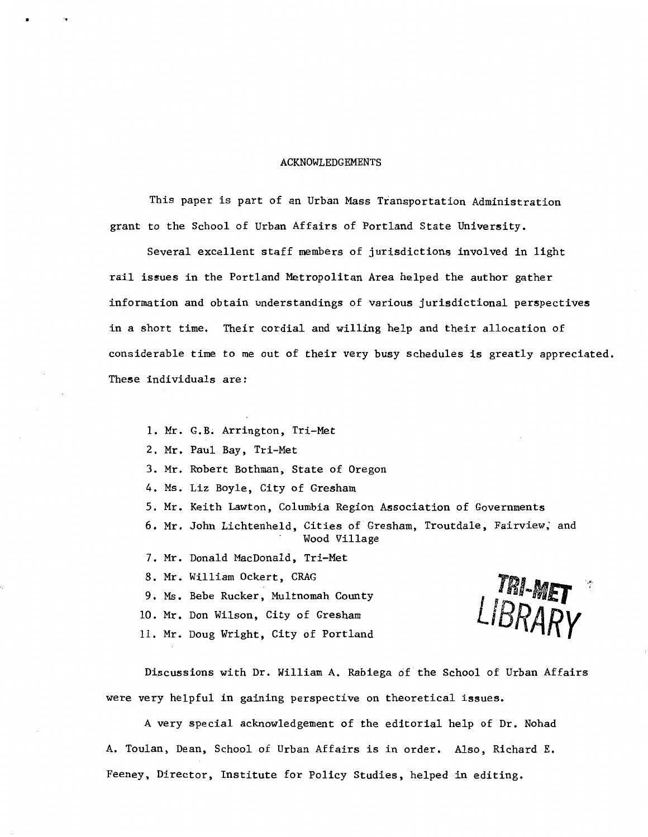#### ACKNOWLEDGEMENTS

This paper is part of an Urban Mass Transportation Administration grant to the School of Urban Affairs of Portland State University.

Several excellent staff members of jurisdictions involved in light rail is5ues in the Portland Metropolitan Area helped the author gather information and obtain understandings of various jurisdictional perspective5 in a short time. Their cordial and willing help and their allocation of considerable time to me out of their very busy schedules is greatly appreciated. These individuals are:

- 1. Mr. G.B. Arrington, Tri-Met
- 2. Mr. Paul Bay, Tri-Met

•

3. Mr. Robert Bothman, State of Oregon

- 4. Ms. Liz Boyle, City of Gresham
- 5. Mr. Keith Lawton, Columbia Region Association of Governments
- 6. Mr. John Lichtenheld, Cities of Gresham, Troutdale, Fairview,' and Wood Village
- 7. Mr. Donald MacDonald, Tri-Met
- 8. Mr. William Ockert, CRAG
- 9. Ms. Bebe Rucker, Multnomah County
- 10. Mr. Don Wilson, City of Gresham
- 11. Mr. Doug Wright, City of Portland



Discussions with Dr. William A. Rabiega of the School of Urban Affairs were very helpful in gaining perspective on theoretical issues.

A very special acknowledgement of the editorial help of Dr. Nohad A. Toulan, Dean, School of Urban Affairs is in order. Also, Richard E. Feeney, Director, Institute for Policy Studies, helped in editing.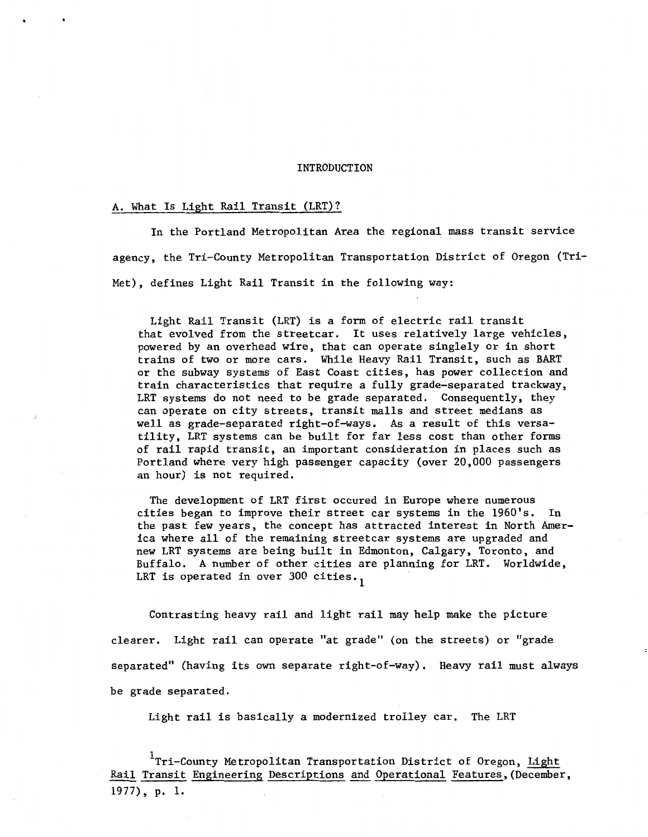#### INTRODUCTION

# A. What Is Light Rail Transit (LRT)?

In the Portland Metropolitan Area the regional mass transit service agency, the Tri-County Metropolitan Transportation District of Oregon (Tri-Met), defines Light Rail Transit in the following way:

Light Rail Transit (LRT) is a form of electric rail transit that evolved from the streetcar. It uses relatively large vehicles, powered by an overhead wire, that can operate singlely or in short trains of two or more cars. While Heavy Rail Transit, such as BART or the subway systems of East Coast cities, has power collection and train characteristics that require a fully grade-separated trackway, LRT systems do not need to be grade separated. Consequently, they can operate on city streets, transit malls and street medians as well as grade-separated right-of-ways. As a result of this versatility, LRT systems can be built for far less cost than other forms of rail rapid transit, an important consideration in places such as Portland where very high passenger capacity (over 20,000 passengers an hour) is not required.

The development of LRT first occured in Europe where numerous cities began to improve their street car systems in the 1960's. In the past few years, the concept has attracted interest in North America where all of the remaining streetcar systems are upgraded and new LRT systems are being built in Edmonton, Calgary, Toronto, and Buffalo. A number of other cities are planning for LRT. Worldwide, LRT is operated in over 300 cities.

Contrasting heavy rail and light rail may help make the picture clearer. Light rail can operate "at grade" (on the streets) or "grade separated" (having its own separate right-of-way). Heavy rail must always be grade separated.

Light rail is basically a modernized trolley car. The LRT

1 Tri-County Metropolitan Transportation District of Oregon, Light Rail Transit Engineering Descriptions and Operational Features,(December, 1977), p. 1.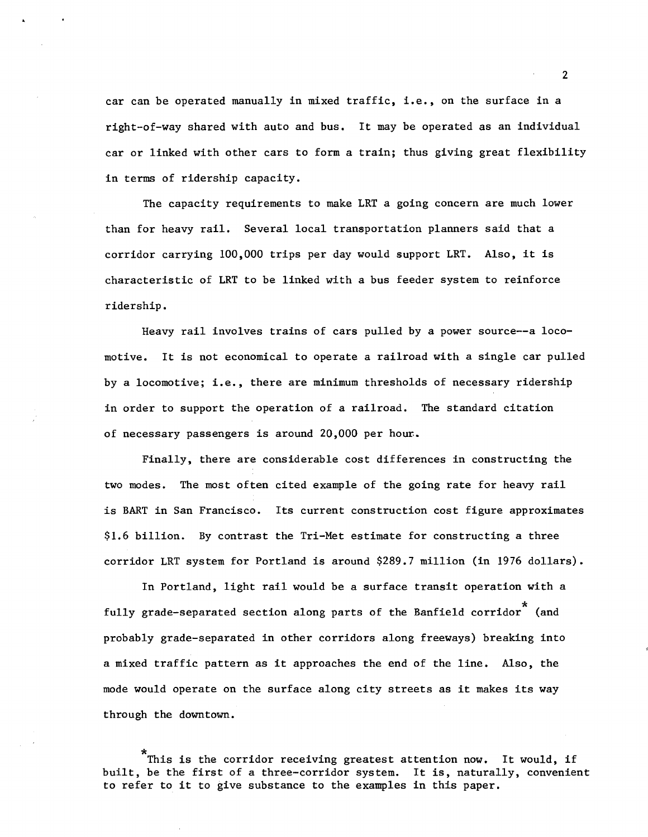car can be operated manually in mixed traffic, i.e., on the surface in a right-of-way shared with auto and bus. It may be operated as an individual car or linked with other cars to form a train; thus giving great flexibility in terms of ridership capacity.

The capacity requirements to make LRT a going concern are much lower than for heavy rail. Several local transportation planners said that a corridor carrying 100,000 trips per day would support LRT. Also, it is characteristic of LRT to be linked with a bus feeder system to reinforce ridership.

Heavy rail involves trains of cars pulled by a power source--a locomotive. It is not economical to operate a railroad with a single car pulled by a locomotive; i.e., there are minimum thresholds of necessary ridership in order to support the operation of a railroad. The standard citation of necessary passengers is around 20,000 per hour..

Finally, there are considerable cost differences in constructing the two modes. The most often cited example of the going rate for heavy rail is BART in San Francisco. Its current construction cost figure approximates \$1.6 billion. By contrast the Tri-Met estimate for constructing a three corridor LRT system for Portland is around \$289.7 million (in 1976 dollars).

In Portland, light rail would be a surface transit operation with a fully grade-separated section along parts of the Banfield corridor<sup>\*</sup> (and probably grade-separated in other corridors along freeways) breaking into a mixed traffic pattern as it approaches the end of the line. Also, the mode would operate on the surface along city streets as it makes its way through the downtown.

This is the corridor receiving greatest attention now. It would, if built, be the first of a three-corridor system. It is, naturally, convenient to refer to it to give substance to the examples in this paper.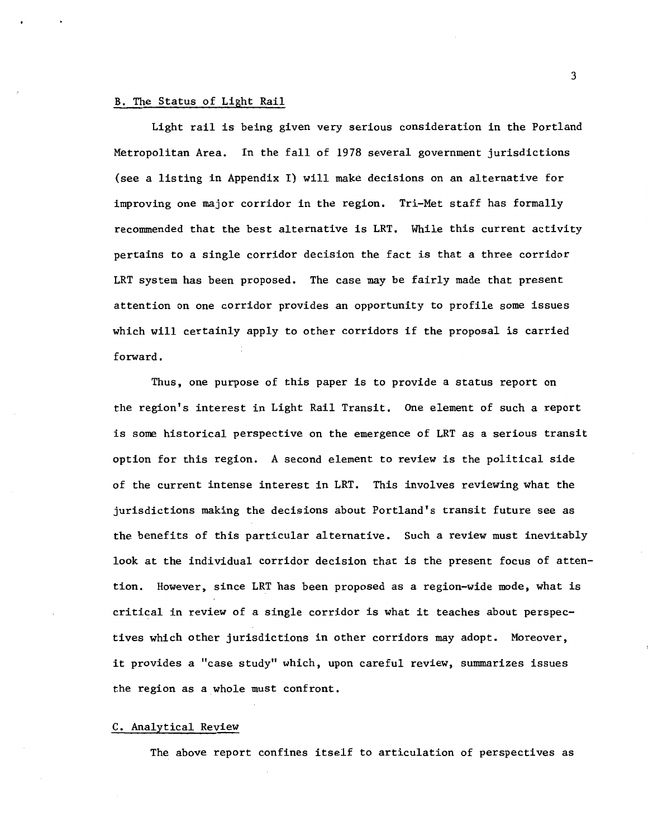# B. The Status of Light Rail

Light rail is being given very serious consideration in the Portland Metropolitan Area. In the fall of 1978 several government jurisdictions (see a listing in Appendix I) will make decisions on an alternative for improving one major corridor in the region. Tri-Met staff has formally recommended that the best alternative is LRT. While this current activity pertains to a single corridor decision the fact is that a three corridor LRT system has been proposed. The case may be fairly made that present attention on one corridor provides an opportunity to profile some issues which will certainly apply to other corridors if the proposal is carried forward.

Thus, one purpose of this paper is to provide a status report on the region's interest in Light Rail Transit. One element of such a report is some historical perspective on the emergence of LRT as a serious transit option for this region. A second element to review is the political side of the current intense interest in LRT. This involves reviewing what the jurisdictions making the decisions about Portland's transit future see as the benefits of this particular alternative. Such a review must inevitably look at the individual corridor decision that is the present focus of attention. However, since LRT has been proposed as a region-wide mode, what is critical in review of a single corridor is what it teaches about perspectives which other jurisdictions in other corridors may adopt. Moreover, it provides a "case study" which, upon careful review, summarizes issues the region as a whole must confront.

#### C. Analytical Review

The above report confines itself to articulation of perspectives as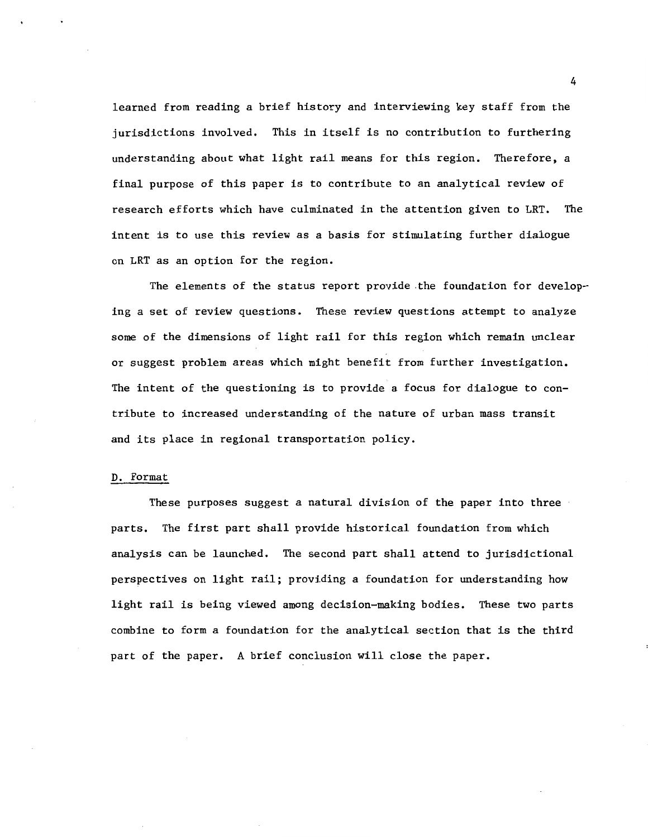learned from reading a brief history and interviewing key staff from the jurisdictions involved. This in itself is no contribution to furthering understanding about what light rail means for this region. Therefore, a final purpose of this paper is to contribute to an analytical review of research efforts which have culminated in the attention given to LRT. The intent is to use this review as a basis for stimulating further dialogue on LRT as an option for the region.

The elements of the status report provide .the foundation for developing a set of review questions. These review questions attempt to analyze some of the dimensions of light rail for this region which remain unclear or suggest problem areas which might benefit from further investigation. The intent of the questioning is to provide a focus for dialogue to contribute to increased understanding of the nature of urban mass transit and its place in regional transportation policy.

#### D. Format

These purposes suggest a natural division of the paper into three parts. The first part shall provide historical foundation from which analysis can be launched. The second part shall attend to jurisdictional perspectives on light rail; providing a foundation for understanding how light rail is being viewed among decision-making bodies. These two parts combine to form a foundation for the analytical section that is the third part of the paper. A brief conclusion will close the paper.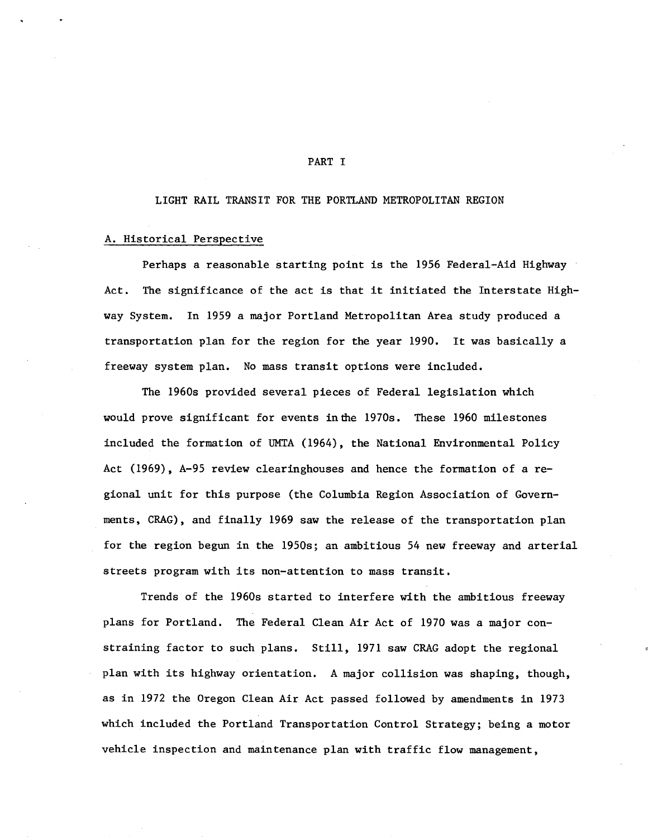#### PART I

#### LIGHT RAIL TRANSIT FOR THE PORTLAND METROPOLITAN REGION

# A. Historical Perspective

Perhaps a reasonable starting point is the 1956 Federal-Aid Highway Act. The significance of the act is that it initiated the Interstate Highway System. In 1959 a major Portland Metropolitan Area study produced a transportation plan for the region for the year 1990. It was basically a freeway system plan. No mass transit options were included.

The 1960s provided several pieces of Federal legislation which would prove significant for events in the 1970s. These 1960 milestones included the formation of UMTA (1964), the National Environmental Policy Act (1969), A-95 review clearinghouses and hence the formation of a regional unit for this purpose (the Columbia Region Association of Governments, CRAG), and finally 1969 saw the release of the transportation plan for the region begun in the 1950s; an ambitious 54 new freeway and arterial streets program with its non-attention to mass transit.

Trends of the 1960s started to interfere with the ambitious freeway plans for Portland. The Federal Clean Air Act of 1970 was a major constraining factor to such plans. Still, 1971 saw CRAG adopt the regional plan with its highway orientation. A major collision was shaping, though, as in 1972 the Oregon Clean Air Act passed followed by amendments in 1973 which included the Portland Transportation Control Strategy; being a motor vehicle inspection and maintenance plan with traffic flow management,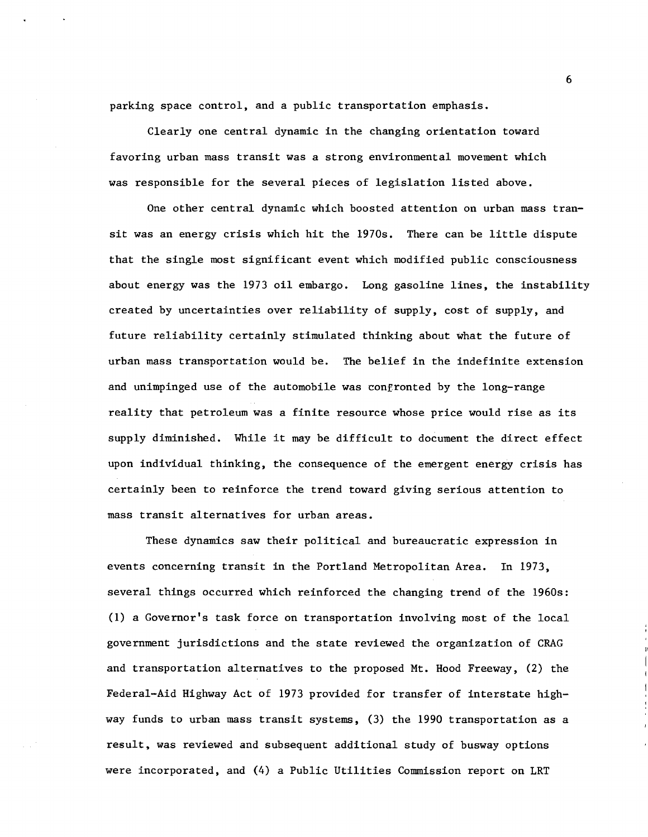parking space control, and a public transportation emphasis.

Clearly one central dynamic in the changing orientation toward favoring urban mass transit was a strong environmental movement which was responsible for the several pieces of legislation listed above.

One other central dynamic which boosted attention on urban mass transit was an energy crisis which hit the 1970s. There can be little dispute that the single most significant event which modified public consciousness about energy was the 1973 oil embargo. Long gasoline lines, the instability created by uncertainties over reliability of supply, cost of supply, and future reliability certainly stimulated thinking about what the future of urban mass transportation would be. The belief in the indefinite extension and unimpinged use of the automobile was confronted by the long-range reality that petroleum was a finite resource whose price would rise as its supply diminished. While it may be difficult to document the direct effect upon individual thinking, the consequence of the emergent energy crisis has certainly been to reinforce the trend toward giving serious attention to mass transit alternatives for urban areas.

These dynamics saw their political and bureaucratic expression in events concerning transit in the Portland Metropolitan Area. In 1973, several things occurred which reinforced the changing trend of the 1960s: (1) a Governor's task force on transportation involving most of the local government jurisdictions and the state reviewed the organization of CRAG and transportation alternatives to the proposed Mt. Hood Freeway, (2) the Federal-Aid Highway Act of 1973 provided for transfer of interstate highway funds to urban mass transit systems, (3) the 1990 transportation as a result, was reviewed and subsequent additional study of busway options were incorporated, and (4) a Public Utilities Commission report on LRT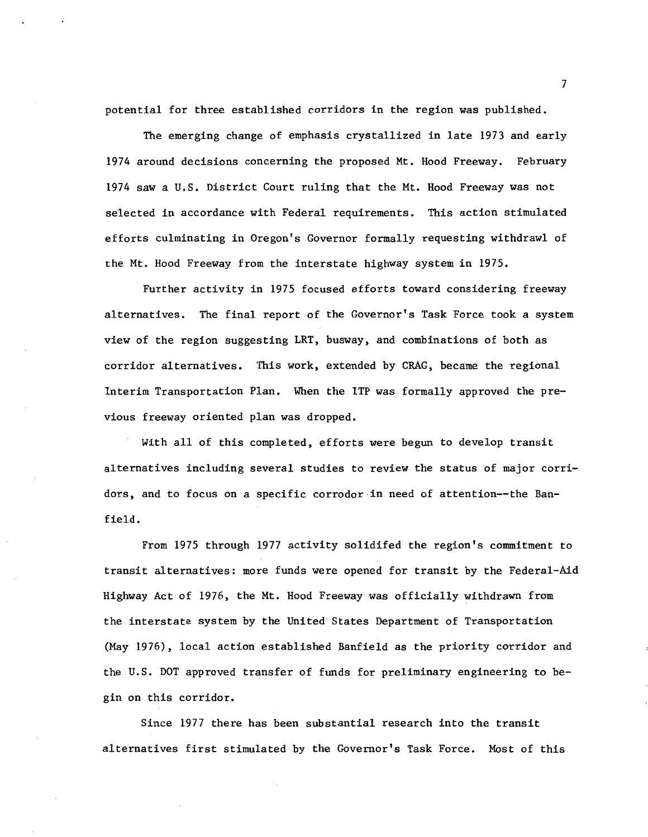potential for three established corridors in the region was published.

The emerging change of emphasis crystallized in late 1973 and early 1974 around decisions concerning the proposed Mt. Hood Freeway. February 1974 saw a U.S. District Court ruling that the Mt. Hood Freeway was not selected in accordance with Federal requirements. This action stimulated efforts culminating in Oregon's Governor formally requesting withdraw! of the Mt. Hood Freeway from the interstate highway system in 1975.

Further activity in 1975 focused efforts toward considering freeway alternatives. The final report of the Governor's Task Force took a system view of the region suggesting LRT, busway, and combinations of both as corridor alternatives. This work, extended by CRAG, became the regional Interim Transportation Plan. When the ITP was formally approved the previous freeway oriented plan was dropped.

With all of this completed, efforts were begun to develop transit alternatives including several studies to review the status of major corridors, and to focus on a specific corrodor in need of attention--the Banfield.

From 1975 through 1977 activity solidifed the region's commitment to transit alternatives: more funds were opened for transit by the Federal-Aid Highway Act of 1976, the Mt. Hood Freeway was officially withdrawn from the interstate system by the United States Department of Transportation (May 1976), local action established Banfield as the priority corridor and the U.S. DOT approved transfer of funds for preliminary engineering to begin on this corridor.

Since 1977 there has been substantial research into the transit alternatives first stimulated by the Governor's Task Force. Most of this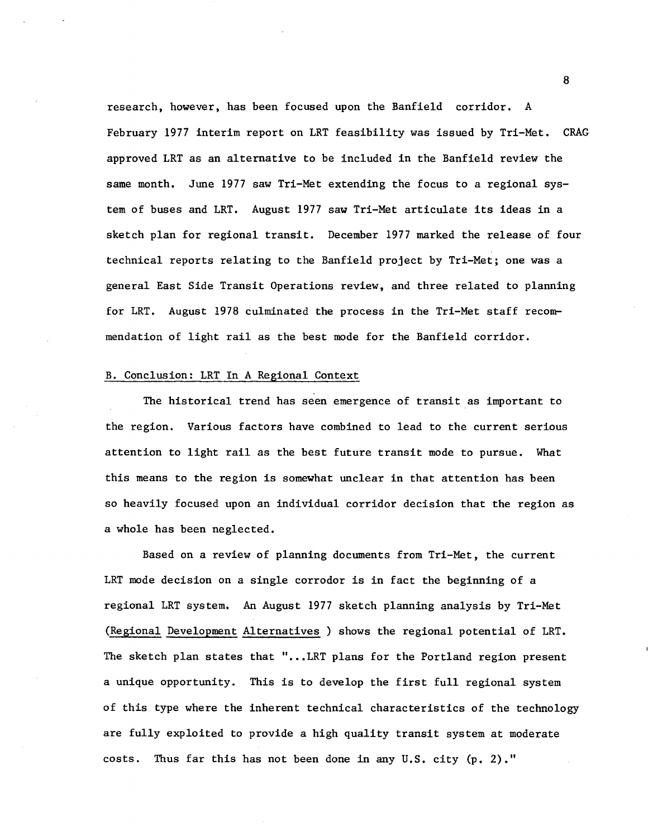research, however, has been focused upon the Banfield corridor. A February 1977 interim report on LRT feasibility was issued by Tri-Met. CRAG approved LRT as an alternative to be included in the Banfield review the same month. June 1977 saw Tri-Met extending the focus to a regional system of buses and LRT. August 1977 saw Tri-Met articulate its ideas in a sketch plan for regional transit. December 1977 marked the release of four technical reports relating to the Banfield project by Tri-Met; one was a general East Side Transit Operations review, and three related to planning for LRT. August 1978 culminated the process in the Tri-Met staff recommendation of light rail as the best mode for the Banfield corridor.

#### B. Conclusion: LRT In A Regional Context

The historical trend has seen emergence of transit as important to the region. Various factors have combined to lead to the current serious attention to light rail as the best future transit mode to pursue. What this means to the region is somewhat unclear in that attention has been so heavily focused upon an individual corridor decision that the region as a whole has been neglected.

Based on a review of planning documents from Tri-Met, the current LRT mode decision on a single corrodor is in fact the beginning of a regional LRT system. An August 1977 sketch planning analysis by Tri-Met (Regional Development Alternatives ) shows the regional potential of LRT. The sketch plan states that "... LRT plans for the Portland region present a unique opportunity. This is to develop the first full regional system of this type where the inherent technical characteristics of the technology are fully exploited to provide a high quality transit system at moderate costs. Thus far this has not been done in any U.S. city (p. 2)."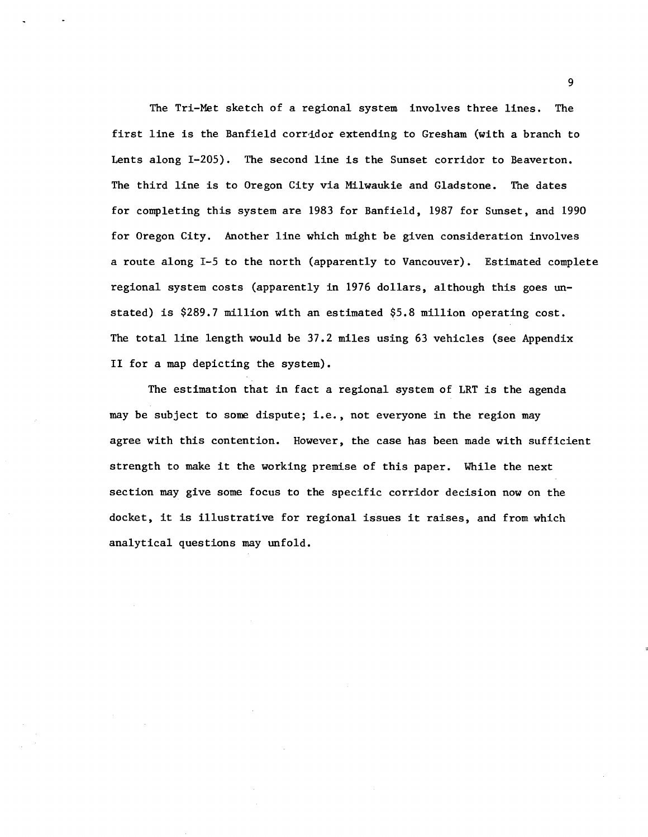The Tri-Met sketch of a regional system. involves three lines. The first line is the Banfield corridor extending to Gresham (with a branch to Lents along I-205). The second line is the Sunset corridor to Beaverton. The third line is to Oregon City via Milwaukie and Gladstone. The dates for completing this system are 1983 for Banfield, 1987 for Sunset, and 1990 for Oregon City. Another line which might be given consideration involves a route along I-5 to the north (apparently to Vancouver). Estimated complete regional system costs (apparently in 1976 dollars, although this goes unstated} is \$289.7 million with an estimated \$5.8 million operating cost. The total line length would be 37.2 miles using 63 vehicles (see Appendix II for a map depicting the system).

The estimation that in fact a regional system of LRT is the agenda may be subject to some dispute; i.e., not everyone in the region may agree with this contention. However, the case has been made with sufficient strength to make it the working premise of this paper. While the next section may give some focus to the specific corridor decision now on the docket, it is illustrative for regional issues it raises, and from which analytical questions may unfold.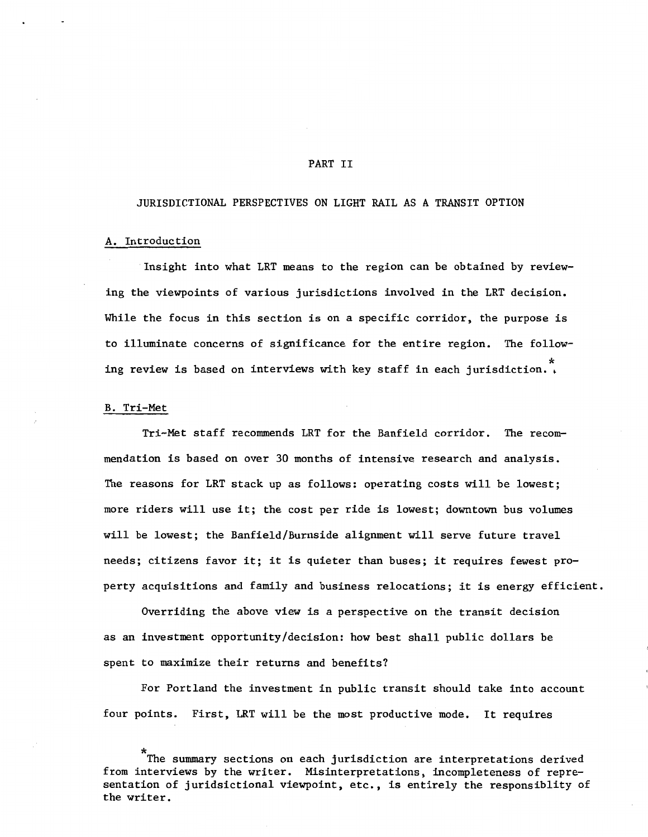# PART II

# JURISDICTIONAL PERSPECTIVES ON LIGHT RAIL AS A TRANSIT OPTION

# A. Introduction

Insight into what LRT means to the region can be obtained by reviewing the viewpoints of various jurisdictions involved in the LRT decision. While the focus in this section is on a specific corridor, the purpose is to illuminate concerns of significance for the entire region. The following review is based on interviews with key staff in each jurisdiction.

# B. Tri-Met

Tri-Met staff recommends LRT for the Banfield corridor. The recommendation is based on over 30 months of intensive research and analysis. The reasons for LRT stack up as follows: operating costs will be lowest; more riders will use it; the cost per ride is lowest; downtown bus volumes will be lowest; the Banfield/Burnside alignment will serve future travel needs; citizens favor it; it is quieter than buses; it requires fewest property acquisitions and family and business relocations; it is energy efficient.

Overriding the above view is a perspective on the transit decision as an investment opportunity/decision: how best shall public dollars be spent to maximize their returns and benefits?

For Portland the investment in public transit should take into account four points. First, LRT will be the most productive mode. It requires

<sup>\*</sup> The summary sections on each jurisdiction are interpretations derived from interviews by the writer. Misinterpretations, incompleteness of representation of juridsictional viewpoint, etc., is entirely the responsiblity of the writer.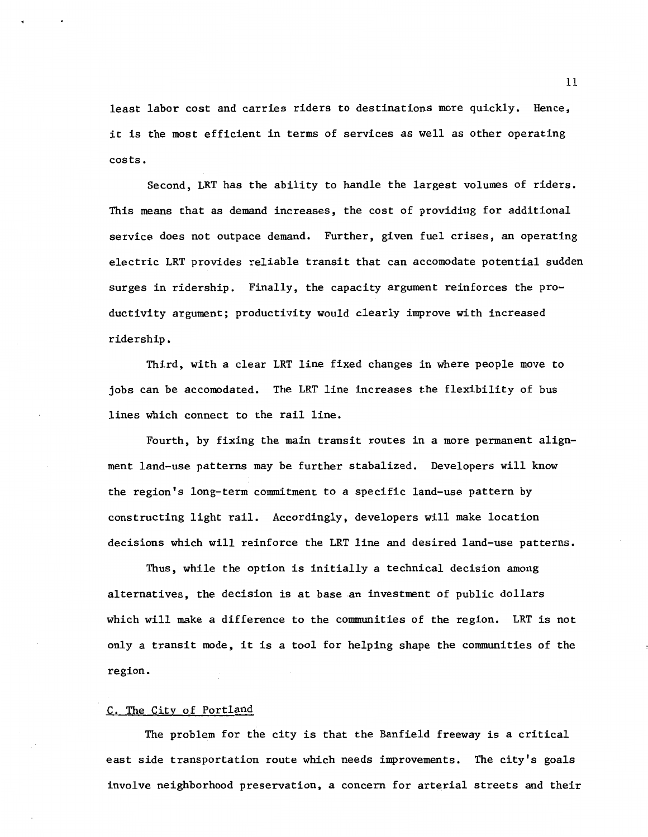least labor cost and carries riders to destinations more quickly. Hence, it is the most efficient in terms of services as well as other operating costs.

Second, LRT has the ability to handle the largest volumes of riders. This means that as demand increases, the cost of providing for additional service does not outpace demand. Further, given fuel crises, an operating electric LRT provides reliable transit that can accomodate potential sudden surges in ridership. Finally, the capacity argument reinforces the productivity argument; productivity would clearly improve with increased ridership.

Third, with a clear LRT line fixed changes in where people move to jobs can be accomodated. The LRT line increases the flexibility of bus lines which connect to the rail line.

Fourth, by fixing the main transit routes in a more permanent alignment land-use patterns may be further stabalized. Developers will know the region's long-term commitment to a specific land-use pattern by constructing light rail. Accordingly, developers will make location decisions which will reinforce the LRT line and desired land-use patterns.

Thus, while the option is initially a technical decision among alternatives, the decision is at base an investment of public dollars which will make a difference to the communities of the region. LRT is not only a transit mode, it is a tool for helping shape the communities of the region.

# C. The City of Portland

The problem for the city is that the Banfield freeway is a critical east side transportation route which needs improvements. The city's goals involve neighborhood preservation, a concern for arterial streets and their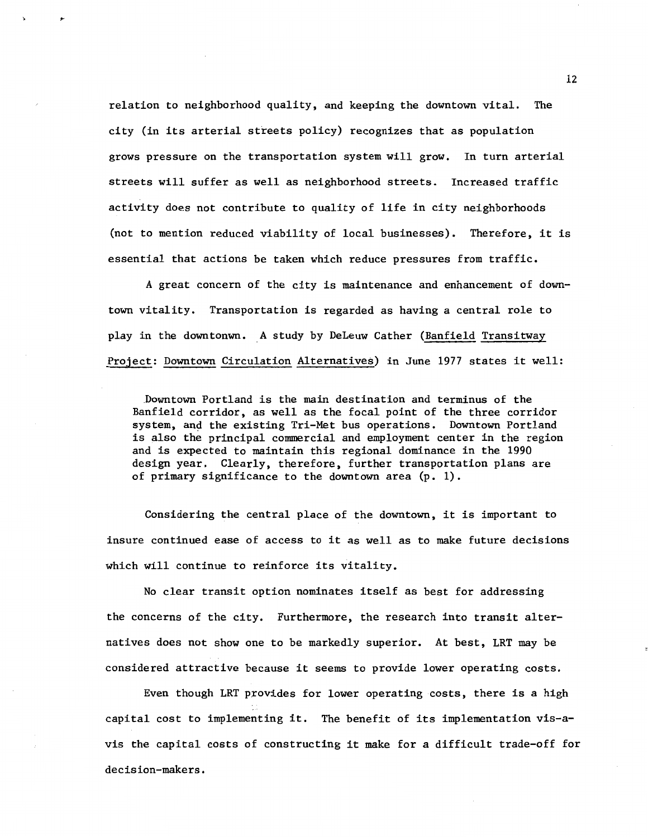relation to neighborhood quality, and keeping the downtown vital. The city (in its arterial streets policy) recognizes that as population grows pressure on the transportation system will grow. In turn arterial streets will suffer as well as neighborhood streets. Increased traffic activity does not contribute to quality of life in city neighborhoods (not to mention reduced viability of local businesses). Therefore, it is essential that actions be taken which reduce pressures from traffic.

A great concern of the city is maintenance and enhancement of downtown vitality. Transportation is regarded as having a central role to play in the downtonwn. A study by DeLeuw Cather (Banfield Transitway Project: Downtown Circulation Alternatives) in June 1977 states it well:

Downtown Portland is the main destination and terminus of the Banfield corridor, as well as the focal point of the three corridor system, and the existing Tri-Met bus operations. Downtown Portland is also the principal commercial and employment center in the region and is expected to maintain this regional dominance in the 1990 design year. Clearly, therefore, further transportation plans are of primary significance to the downtown area (p. 1).

Considering the central place of the downtown, it is important to insure continued ease of access to it as well as to make future decisions which will continue to reinforce its vitality.

No clear transit option nominates itself as best for addressing the concerns of the city. Furthermore, the research into transit alternatives does not show one to be markedly superior. At best, LRT may be considered attractive because it seems to provide lower operating costs.

Even though LRT provides for lower operating costs, there is a high capital cost to implementing it. The benefit of its implementation vis-avis the capital costs of constructing it make for a difficult trade-off for decision-makers.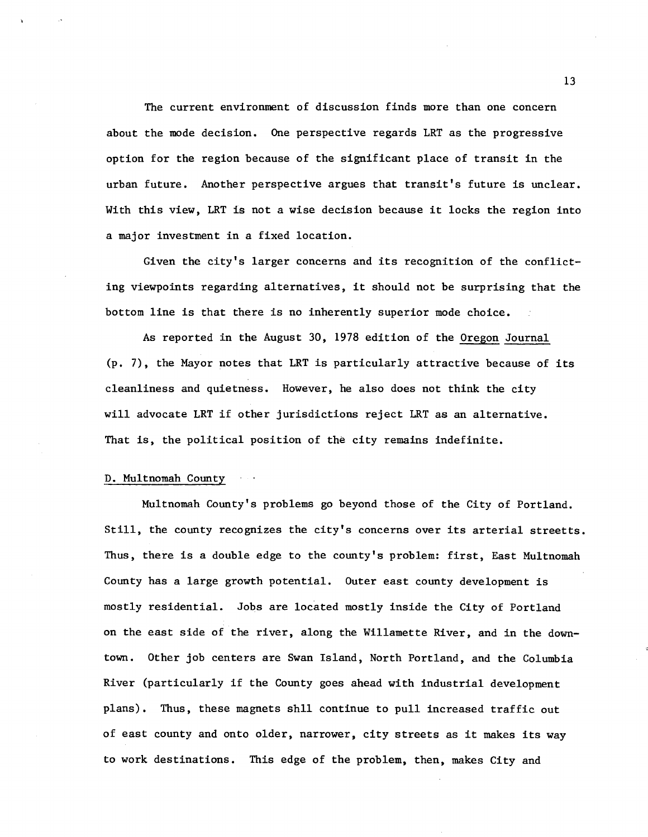The current environment of discussion finds more than one concern about the mode decision. One perspective regards LRT as the progressive option for the region because of the significant place of transit in the urban future. Another perspective argues that transit's future is unclear. With this view, LRT is not a wise decision because it locks the region into a major investment in a fixed location.

Given the city's larger concerns and its recognition of the conflicting viewpoints regarding alternatives, it should not be surprising that the bottom line is that there is no inherently superior mode choice.

As reported in the August 30, 1978 edition of the Oregon Journal (p. 7), the Mayor notes that LRT is particularly attractive because of its cleanliness and quietness. However, he also does not think the city will advocate LRT if other jurisdictions reject LRT as an alternative. That is, the political position of the city remains indefinite.

#### D. Multnomah County

Multnomah County's problems go beyond those of the City of Portland. Still, the county recognizes the city's concerns over its arterial streetts. Thus, there is a double edge to the county's problem: first, East Multnomah County has a large growth potential. Outer east county development is mostly residential. Jobs are located mostly inside the City of Portland on the east side of the river, along the Willamette River, and in the downtown. Other job centers are Swan Island, North Portland, and the Columbia River (particularly if the County goes ahead with industrial development plans). Thus, these magnets shll continue to pull increased traffic out of east county and onto older, narrower, city streets as it makes its way to work destinations. This edge of the problem, then, makes City and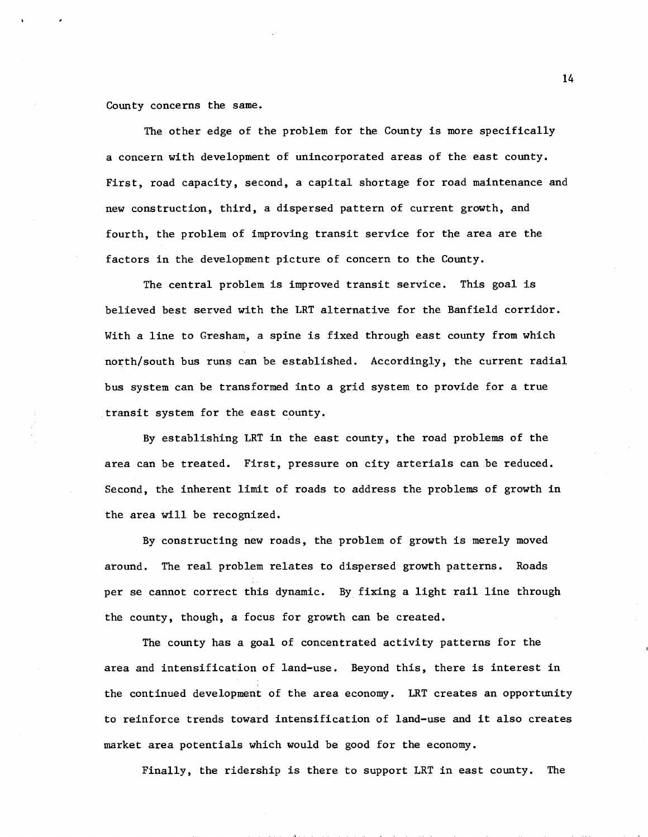County concerns the same.

The other edge of the problem for the County is more specifically a concern with development of unincorporated areas of the east county. First, road capacity, second, a capital shortage for road maintenance and new construction, third, a dispersed pattern of current growth, and fourth, the problem of improving transit service for the area are the factors in the development picture of concern to the County.

The central problem is improved transit service. This goal is believed best served with the LRT alternative for the Banfield corridor. With a line to Gresham, a spine is fixed through east county from which north/south bus runs can be established. Accordingly, the current radial bus system can be transformed into a grid system to provide for a true transit system for the east county.

By establishing LRT in the east county, the road problems of the area can be treated. First, pressure on city arterials can be reduced. Second, the inherent limit of roads to address the problems of growth in the area Will be recognized.

By constructing new roads, the problem of growth is merely moved around. The real problem relates to dispersed growth patterns. Roads per se cannot correct this dynamic. By fixing a light rail line through the county, though, a focus for growth can be created.

The county has a goal of concentrated activity patterns for the area and intensification of land-use. Beyond this, there is interest in the continued development of the area economy. LRT creates an opportunity to reinforce trends toward intensification of land-use and it also creates market area potentials which would be good for the economy.

Finally, the ridership is there to support LRT in east county. The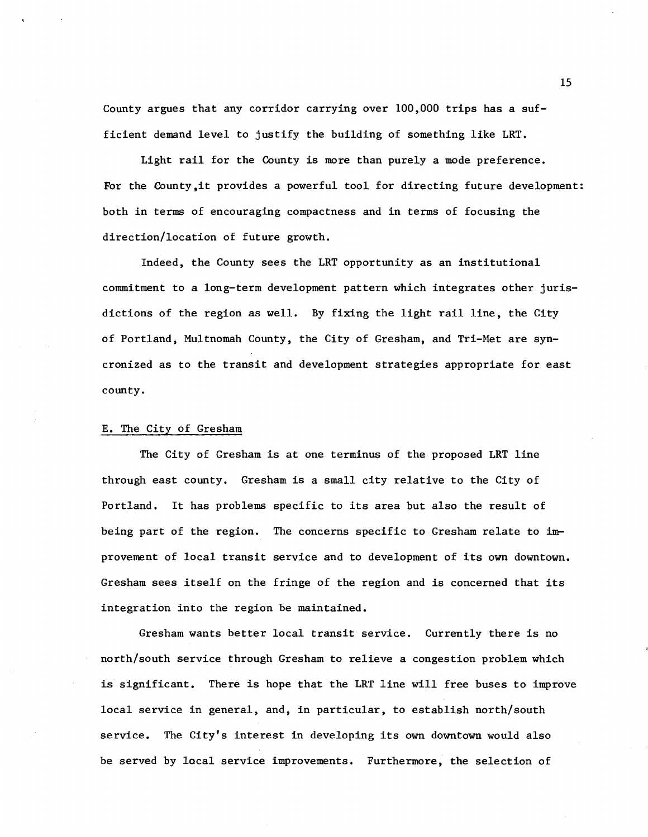County argues that any corridor carrying over  $100,000$  trips has a sufficient demand level to justify the building of something like LRT.

Light rail for the County is more than purely a mode preference. For the County,it provides a powerful tool for directing future development: both in terms of encouraging compactness and in terms of focusing the direction/location of future growth.

Indeed, the County sees the LRT opportunity as an institutional commitment to a long-term development pattern which integrates other jurisdictions of the region as well. By fixing the light rail line, the City of Portland, Multnomah County, the City of Gresham, and Tri-Met are syncronized as to the transit and development strategies appropriate for east county.

#### E. The City of Gresham

The City of Gresham is at one terminus of the proposed LRT line through east county. Gresham is a small city relative to the City of Portland. It has problems specific to its area but also the result of being part of the region. The concerns specific to Gresham relate to  $im$ provement of local transit service and to development of its own downtown. Gresham sees itself on the fringe of the region and is concerned that its integration into the region be maintained.

Gresham wants better local transit service. Currently there is no north/south service through Gresham to relieve a congestion problem which is significant. There is hope that the LRT line will free buses to improve local service in general, and, in particular, to establish north/south service. The City's interest in developing its own downtown would also be served by local service improvements. Furthermore, the selection of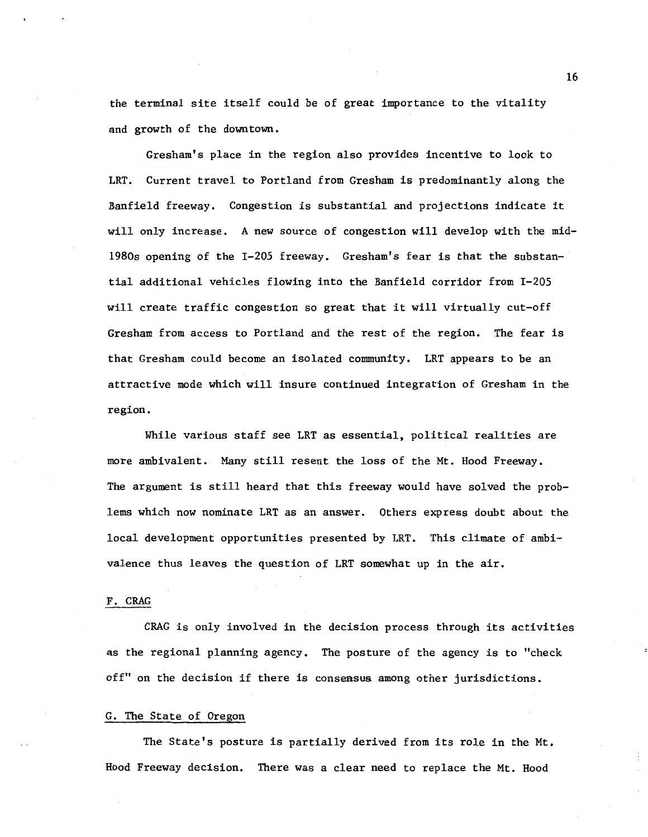the terminal site itself could be of great importance to the vitality and growth of the downtown.

Gresham's place in the region also provides incentive to look to LRT. Current travel to Portland from Gresham is predominantly along the Banfield freeway. Congestion is substantial and projections indicate it will only increase. A new source of congestion will develop with the mid-1980s opening of the I-205 freeway. Gresham's fear is that the substantial additional vehicles flowing into the Banfield corridor from I-205 will create traffic congestion so great that it will virtually cut-off Gresham from access to Portland and the rest of the region. The fear is that Gresham could become an isolated community. LRT appears to be an attractive mode which will insure continued integration of Gresham in the region.

While various staff see LRT as essential, political realities are more ambivalent. Many still resent the loss of the Mt. Hood Freeway. The argument is still heard that this freeway would have solved the problems which now nominate LRT as an answer. Others express doubt about the local development opportunities presented by LRT. This climate of ambivalence thus leaves the question of LRT somewhat up in the air.

#### F. CRAG

CRAG is only involved in the decision process through its activities as the regional planning agency. The posture of the agency is to "check off" on the decision if there is consensus among other jurisdictions.

#### G. The State of Oregon

The State's posture is partially derived from its role in the Mt. Hood Freeway decision. There was a clear need to replace the Mt. Hood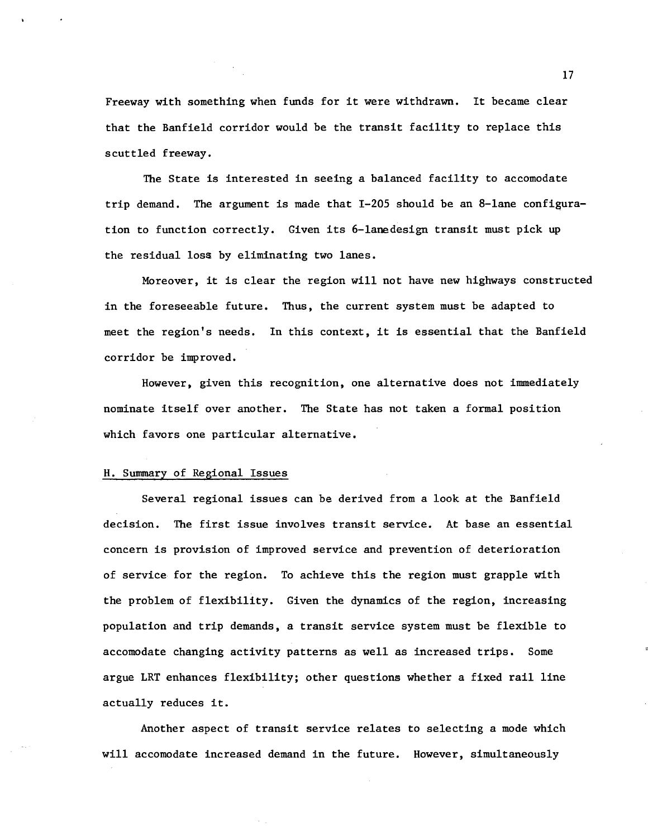Freeway with something when funds for it were withdrawn. It became clear that the Banfield corridor would be the transit facility to replace this scuttled freeway.

The State is interested in seeing a balanced facility to accomodate trip demand. The argument is made that  $I-205$  should be an 8-lane configuration to function correctly. Given its 6-lanedesign transit must pick up the residual loss by eliminating two lanes.

Moreover, it is clear the region will not have new highways constructed in the foreseeable future. Thus, the current system must be adapted to meet the region's needs. In this context, it is essential that the Banfield corridor be improved.

However, given this recognition, one alternative does not immediately nominate itself over another. The State has not taken a formal position which favors one particular alternative.

#### H. Summary of Regional Issues

Several regional issues can be derived from a look at the Banfield decision. The first issue involves transit service. At base an essential concern is provision of improved service and prevention of deterioration of service for the region. To achieve this the region must grapple with the problem of flexibility. Given the dynamics of the region, increasing population and trip demands, a transit service system must be flexible to accomodate changing activity patterns as well as increased trips. Some argue LRT enhances flexibility; other questions whether a fixed rail line actually reduces it.

Another aspect of transit service relates to selecting a mode which will accomodate increased demand in the future. However, simultaneously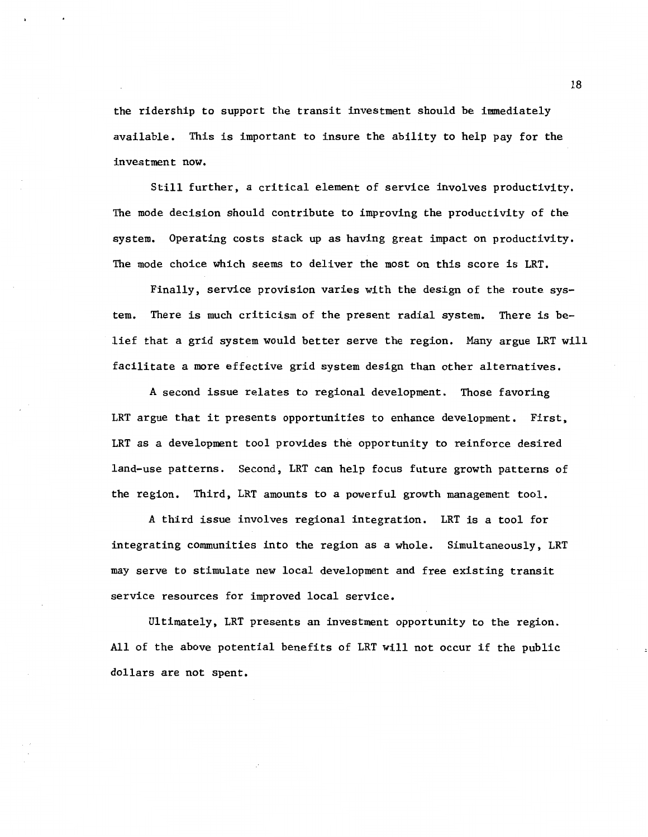the ridership to support the transit investment should be immediately available. This is important to insure the ability to help pay for the investment now.

Still further, a critical element of service involves productivity. The mode decision should contribute to improving the productivity of the system. Operating costs stack up as having great impact on productivity. The mode choice which seems to deliver the most on this score is LRT.

Finally, service provision varies with the design of the route system. There is much criticism of the present radial system. There is belief that a grid system would better serve the region. Many argue LRT will facilitate a more effective grid system design than other alternatives.

A second issue relates to regional development. Those favoring LRT argue that it presents opportunities to enhance development. First, LRT as a development tool provides the opportunity to reinforce desired land-use patterns. Second, LRT can help focus future growth patterns of the region. Third, LRT amounts to a powerful growth management tool.

A third issue involves regional integration. LRT is a tool for integrating communities into the region as a whole. Simultaneously, LRT may serve to stimulate new local development and free existing transit service resources for improved local service.

Ultimately, LRT presents an investment opportunity to the region. All of the above potential benefits of LRT will not occur if the public dollars are not spent.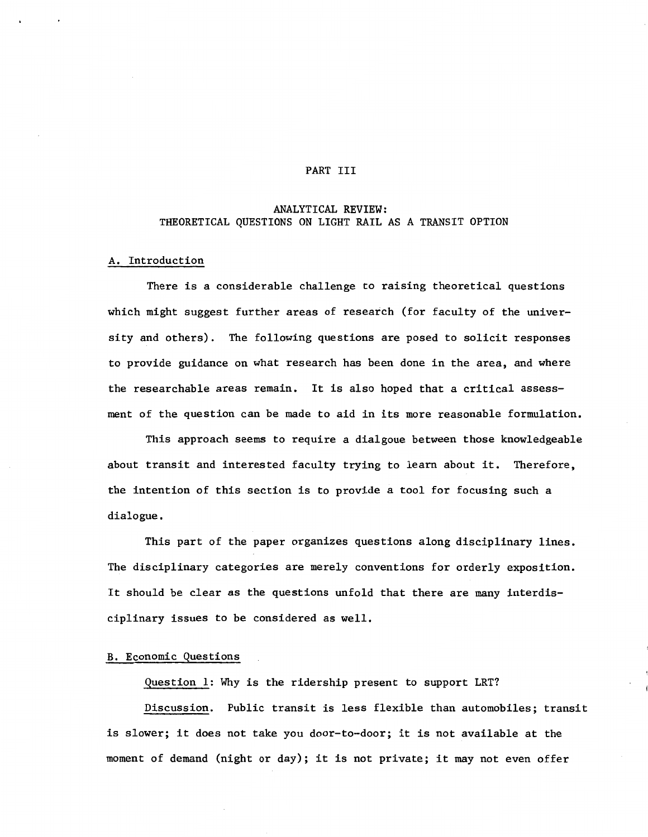#### PART III

# ANALYTICAL REVIEW: THEORETICAL QUESTIONS ON LIGHT RAIL AS A TRANSIT OPTION

# A. Introduction

There is a considerable challenge to raising theoretical questions which might suggest further areas of research (for faculty of the university and others). The following questions are posed to solicit responses to provide guidance on what research has been done in the area, and where the researchable areas remain. It is also hoped that a critical assessment of the question can be made to aid in its more reasonable formulation.

This approach seems to require a dialgoue between those knowledgeable about transit and interested faculty trying to learn about it. Therefore, the intention of this section is to provide a tool for focusing such a dialogue.

This part of the paper organizes questions along disciplinary lines. The disciplinary categories are merely conventions for orderly exposition. It should be clear as the questions unfold that there are many interdisciplinary issues to be considered as well.

# B. Economic Questions

Question 1: Why is the ridership present to support LRT?

Discussion. Public transit is less flexible than automobiles; transit is slower; it does not take you door-to-door; it is not available at the moment of demand (night or day); it is not private; it may not even offer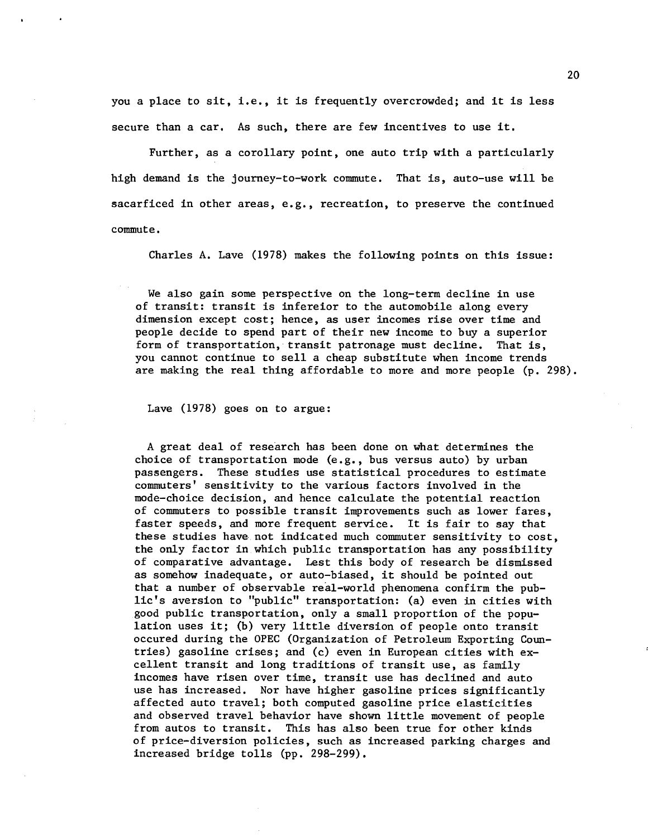you a place to sit, i.e., it is frequently overcrowded; and it is less secure than a car. As such, there are few incentives to use it.

Further, as a corollary point, one auto trip with a particularly high demand is the journey-to-work commute. That is, auto-use will be sacarficed in other areas, e.g., recreation, to preserve the continued commute.

Charles A. Lave (1978) makes the following points on this issue:

We also gain some perspective on the long-term decline in use of transit: transit is infereior to the automobile along every dimension except cost; hence, as user incomes rise over time and people decide to spend part of their new income to buy a superior form of transportation, transit patronage must decline. That is, you cannot continue to sell a cheap substitute when income trends are making the real thing affordable to more and more people (p. 298).

Lave (1978) goes on to argue:

A great deal of research has been done on what determines the choice of transportation mode (e.g., bus versus auto) by urban passengers. These studies use statistical procedures to estimate commuters' sensitivity to the various factors involved in the mode-choice decision, and hence calculate the potential reaction of commuters to possible transit improvements such as lower fares, faster speeds, and more frequent service. It is fair to say that these studies have not indicated much commuter sensitivity to cost, the only factor in which public transportation has any possibility of comparative advantage. Lest this body of research be dismissed as somehow inadequate, or auto-biased, it should be pointed out that a number of observable real-world phenomena confirm the public's aversion to "public" transportation: (a) even in cities with good public transportation, only a small proportion of the population uses it; (b) very little diversion of people onto transit occured during the OPEC (Organization of Petroleum Exporting Countries) gasoline crises; and (c) even in European cities with excellent transit and long traditions of transit use, as family incomes have risen over time, transit use has declined and auto use has increased. Nor have higher gasoline prices significantly affected auto travel; both computed gasoline price elasticities and observed travel behavior have shown little movement of people from autos to transit. This has also been true for other kinds of price-diversion policies, such as increased parking charges and increased bridge tolls (pp. 298-299).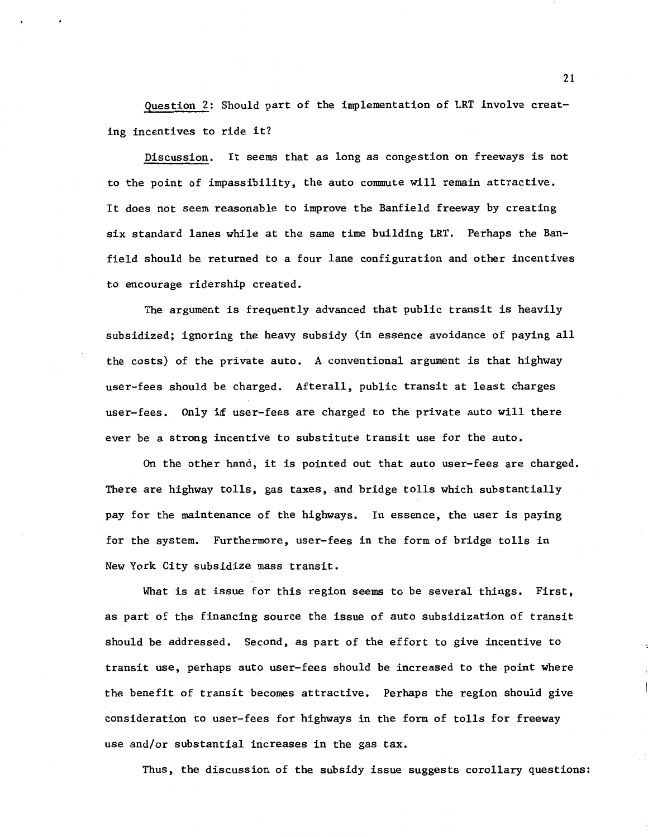Question 2: Should part of the implementation of LRT involve creating incentives to ride it?

Discussion. It seems that as long as congestion on freeways is not to the point of impassibility, the auto commute will remain attractive. It does not seem reasonable to improve the Banfield freeway by creating six standard lanes while at the same time building LRT. Perhaps the Banfield should be returned to a four lane configuration and other incentives to encourage ridership created.

The argument is frequently advanced that public transit is heavily subsidized; ignoring the heavy subsidy (in essence avoidance of paying all the costs) of the private auto. A conventional argument is that highway user-fees should be charged. Afterall, public transit at least charges user-fees. Only if user-fees are charged to the private auto will there ever be a strong incentive to substitute transit use for the auto.

On the other hand, it is pointed out that auto user-fees are charged. There are highway tolls, gas taxes, and bridge tolls which substantially pay for the maintenance of the highways. In essence, the user is paying for the system. Furthermore, user-fees in the form of bridge tolls in New York City subsidize mass transit.

What is at issue for this region seems to be several things. First, as part of the financing source the issue of auto subsidization of transit should be addressed. Second, as part of the effort to give incentive to transit use, perhaps auto user-fees should be increased to the point where the benefit of transit becomes attractive. Perhaps the region should give consideration to user-fees for highways in the form of tolls for freeway use and/or substantial increases in the gas tax.

Thus, the discussion of the subsidy issue suggests corollary questions: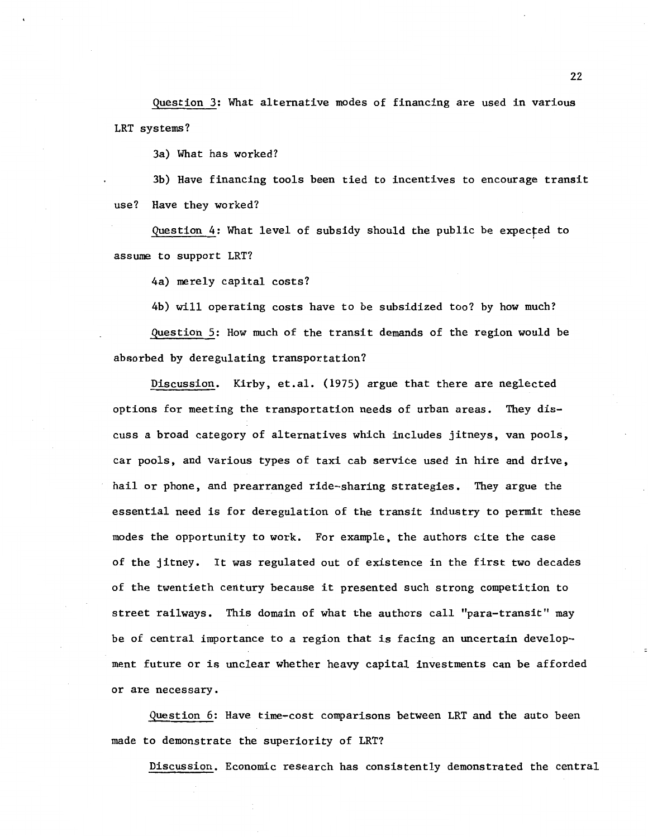Question 3: What alternative modes of financing are used in various LRT systems?

3a) What has worked?

3b) Have financing tools been tied to incentives to encourage transit use? Have they worked?

Question 4: What level of subsidy should the public be expecfed to assume to support LRT?

4a) merely capital costs?

4b) will operating costs have to be subsidized too? by how much? Question 5: How much of the transit demands of the region would be absorbed by deregulating transportation?

Discussion. Kirby, et.al. (1975) argue that there are neglected options for meeting the transportation needs of urban areas. They discuss a broad category of alternatives which includes jitneys, van pools, car pools, and various types of taxi cab service used in hire and drive, hail or phone, and prearranged ride-sharing strategies. They argue the essential need is for deregulation of the transit industry to permit these modes the opportunity to work. For example, the authors cite the case of the jitney. It was regulated out of existence in the first two decades of the twentieth century because it presented such strong competition to street railways. This domain of what the authors call "para-transit" may be of central importance to a region that is facing an uncertain development future or is unclear whether heavy capital investments can be afforded or are necessary.

Question 6: Have time-cost comparisons between LRT and the auto been made to demonstrate the superiority of LRT?

Discussion. Economic research has consistently demonstrated the central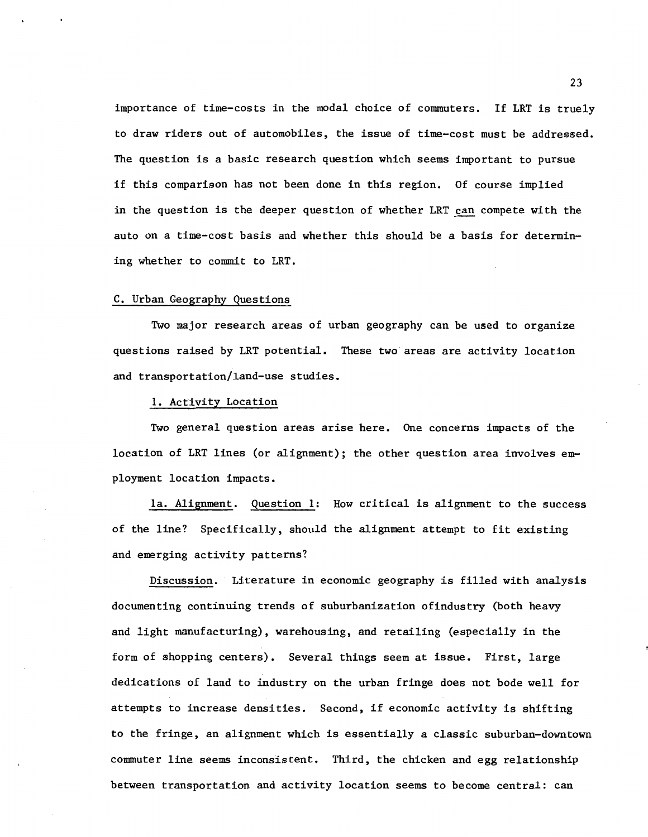importance of time-costs in the modal choice of commuters. If LRT is truely to draw riders out of automobiles, the issue of time-cost must be addressed. The question is a basic research question which seems important to pursue if this comparison has not been done in this region. Of course implied in the question is the deeper question of whether LRT can compete with the auto on a time-cost basis and whether this should be a basis for determining whether to commit to LRT.

#### C. Urban Geography Questions

Two major research areas of urban geography can be used to organize questions raised by LRT potential. These two areas are activity location and transportation/land-use studies.

# 1. Activity Location

Two general question areas arise here. One concerns impacts of the location of LRT lines (or alignment); the other question area involves employment location impacts.

1a. Alignment. Question 1: How critical is alignment to the success of the line? Specifically, should the alignment attempt to fit existing and emerging activity patterns?

Discussion. Literature in economic geography is filled with analysis documenting continuing trends of suburbanization ofindustry (both heavy and light manufacturing), warehousing, and retailing (especially in the form of shopping centers). Several things seem at issue. First, large dedications of land to industry on the urban fringe does not bode well for attempts to increase densities. Second, if economic activity is shifting to the fringe, an alignment which is essentially a classic suburban-downtown commuter line seems inconsistent. Third, the chicken and egg relationship between transportation and activity location seems to become central: can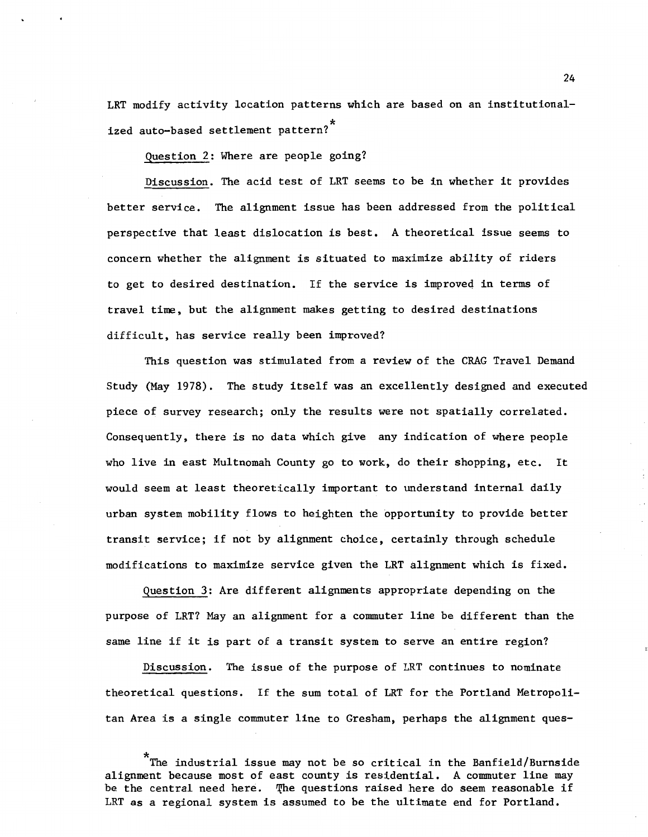LRT modify activity location patterns which are based on an institutionalized auto-based settlement pattern? \*

Question 2: Where are people going?

Discussion. The acid test of LRT seems to be in whether it provides better service. The alignment issue has been addressed from the political perspective that least dislocation is best. A theoretical issue seems to concern whether the alignment is situated to maximize ability of riders to get to desired destination. If the service is improved in terms of travel time, but the alignment makes getting to desired destinations difficult, has service really been improved?

This question was stimulated from a review of the CRAG Travel Demand Study (May 1978). The study itself was an excellently designed and executed piece of survey research; only the results were not spatially correlated. Consequently, there is no data which give any indication of where people who live in east Multnomah County go to work, do their shopping, etc. It would seem at least theoretically important to understand internal daily urban system mobility flows to heighten the opportunity to provide better transit service; if not by alignment choice, certainly through schedule modifications to maximize service given the LRT alignment which is fixed.

Question 3: Are different alignments appropriate depending on the purpose of LRT? May an alignment for a commuter line be different than the same line if it is part of a transit system to serve an entire region?

Discussion. The issue of the purpose of LRT continues to nominate theoretical questions. If the sum total of LRT for the Portland Metropolitan Area is a single commuter line to Gresham, perhaps the alignment ques-

\* The industrial issue may not be so critical in the Banfield/Burnside alignment because most of east county is residential. A commuter line may be the central need here. The questions raised here do seem reasonable if LRT as a regional system is assumed to be the ultimate end for Portland.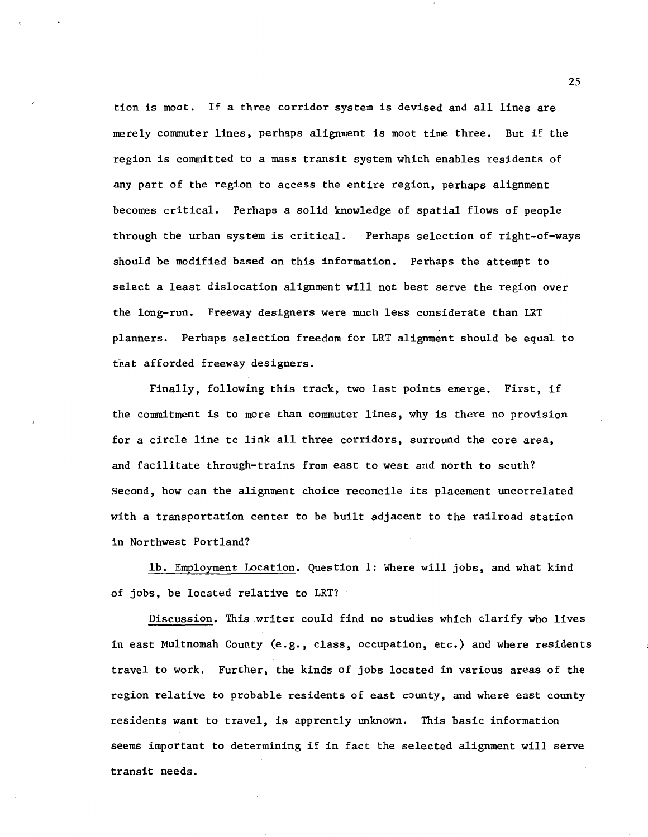tion is moot. If a three corridor system is devised and all lines are merely commuter lines, perhaps alignment is moot time three. But if the region is committed to a mass transit system which enables residents of any part of the region to access the entire region, perhaps alignment becomes critical. Perhaps a solid knowledge of spatial flows of people through the urban system is critical. Perhaps selection of right-of-ways should be modified based on this information. Perhaps the attempt to select a least dislocation alignment will not best serve the region over the long-run. Freeway designers were much less considerate than LRT planners. Perhaps selection freedom for LRT alignment should be equal to that afforded freeway designers.

Finally, following this track, two last points emerge. First, if the commitment is to more than commuter lines, why is there no provision for a circle line to link all three corridors, surround the core area, and facilitate through-trains from east to west and north to south? Second, how can the alignment choice reconcile its placement uncorrelated with a transportation center to be built adjacent to the railroad station in Northwest Portland?

lb. Employment Location. Question 1: Where will jobs, and what kind of jobs, be located relative to LRT?

Discussion. This writer could find no studies which clarify who lives in east Multnomah County (e.g., class, occupation, etc.) and where residents travel to work. Further, the kinds of jobs located in various areas of the region relative to probable residents of east county, and where east county residents want to travel, is apprently unknown. This basic information seems important to determining if in fact the selected alignment will serve transit needs.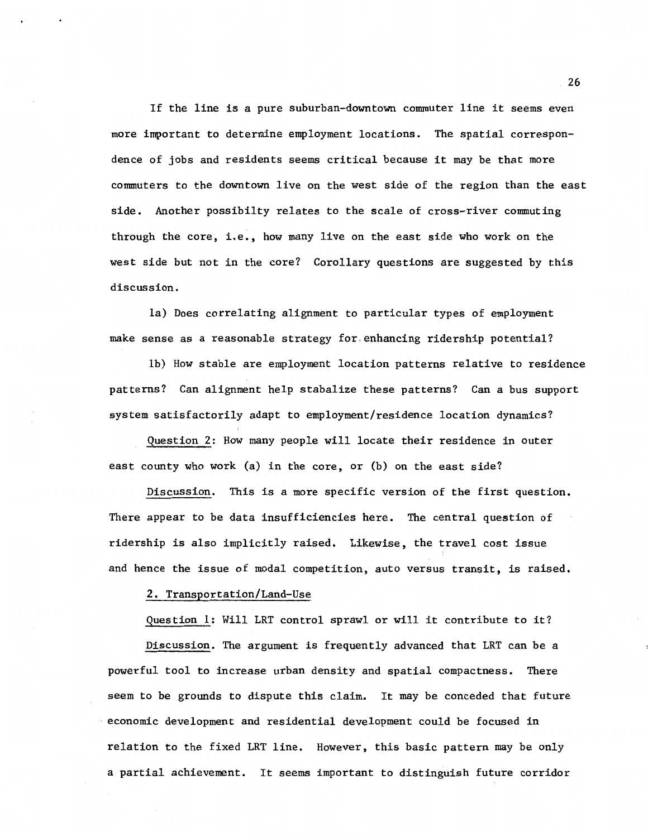If the line is a pure suburban-downtown commuter line it seems even more important to determine employment locations. The spatial correspondence of jobs and residents seems critical because it may be that more commuters to the downtown live on the west side of the region than the east side. Another possibilty relates to the scale of cross-river commuting through the core, i.e., how many live on the east side who work on the west side but not in the core? Corollary questions are suggested by this discussion.

la) Does correlating alignment to particular types of employment make sense as a reasonable strategy for.enhancing ridership potential?

lb) How stable are employment location patterns relative to residence patterns? Can alignment help stabalize these patterns? Can a bus support system satisfactorily adapt to employment/residence location dynamics?

Question 2: How many people will locate their residence in outer east county who work (a) in the core, or (b) on the east side?

Discussion. This is a more specific version of the first question. There appear to be data insufficiencies here. The central question of ridership is also implicitly raised. Likewise, the travel cost issue and hence the issue of modal competition, auto versus transit, is raised.

#### 2. Transportation/Land-Use

Question 1: Will LRT control sprawl or will it contribute to it?

Discussion. The argument is frequently advanced that LRT can be a powerful tool to increase urban density and spatial compactness. There seem to be grounds to dispute this claim. It may be conceded that future economic development and residential development could be focused in relation to the fixed LRT line. However, this basic pattern may be only a partial achievement. It seems important to distinguish future corridor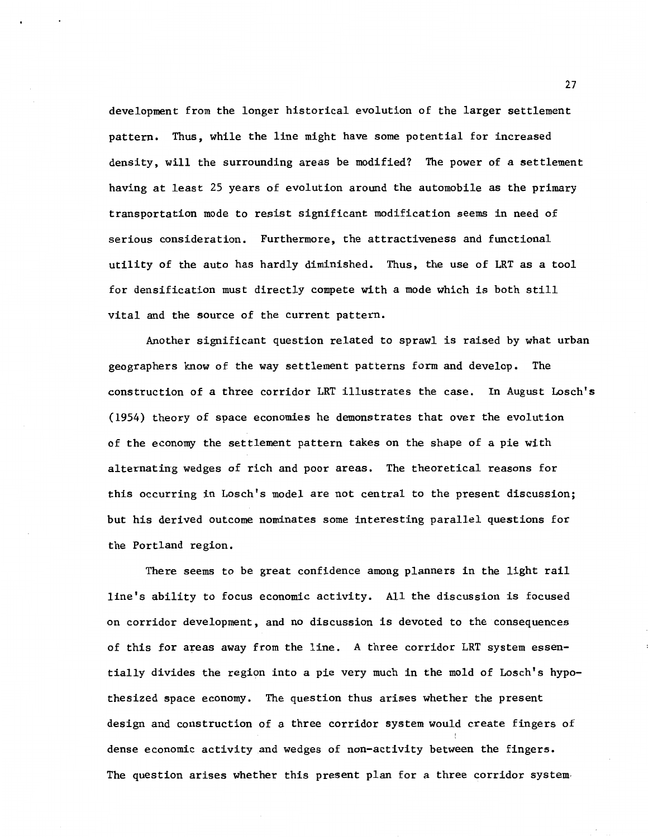development from the longer historical evolution of the larger settlement pattern. Thus, while the line might have some potential for increased density, will the surrounding areas be modified? The power of a settlement having at least 25 years of evolution around the automobile as the primary transportation mode to resist significant modification seems in need of serious consideration. Furthermore, the attractiveness and functional utility of the auto has hardly diminished. Thus, the use of LRT as a tool for densification must directly compete with a mode which is both still vital and the source of the current pattern.

Another significant question related to sprawl is raised by what urban geographers know of the way settlement patterns form and develop. The construction of a three corridor LRT illustrates the case. In August Losch's (1954) theory of space economies he demonstrates that over the evolution of the economy the settlement pattern takes on the shape of a pie with alternating wedges of rich and poor areas. The theoretical reasons for this occurring in Losch's model are not central to the present discussion; but his derived outcome nominates some interesting parallel questions for the Portland region.

There seems to be great confidence among planners in the light rail line's ability to focus economic activity. All the discussion is focused on corridor development, and no discussion is devoted to the consequences of this for areas away from the line. A three corridor LRT system essentially divides the region into a pie very much in the mold of Losch's hypothesized space economy. The question thus arises whether the present design and construction of a three corridor system would create fingers of dense economic activity and wedges of non-activity between the fingers. The question arises whether this present plan for a three corridor system-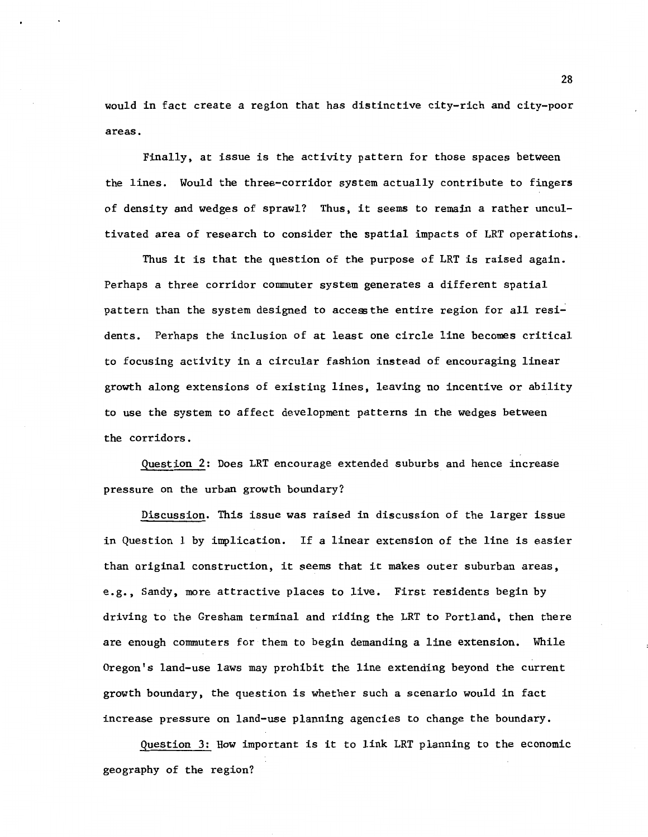would in fact create a region that has distinctive city-rich and city-poor areas.

Finally, at issue is the activity pattern for those spaces between the lines. Would the three-corridor system actually contribute to fingers of density and wedges of sprawl? Thus, it seems to remain a rather uncultivated area of research to consider the spatial impacts of LRT operations.

Thus it is that the question of the purpose of LRT is raised again. Perhaps a three corridor commuter system generates a different spatial pattern than the system designed to access the entire region for all residents. Perhaps the inclusion of at least one circle line becomes critical to focusing activity in a circular fashion instead of encouraging linear growth along extensions of existing lines, leaving no incentive or ability to use the system to affect development patterns in the wedges between the corridors.

Question 2: Does LRT encourage extended suburbs and hence increase pressure on the urban growth boundary?

Discussion. This issue was raised in discussion of the larger issue in Question 1 by implication. If a linear extension of the line is easier than original construction, it seems that it makes outer suburban areas, e.g., Sandy, more attractive places to live. First residents begin by driving to the Gresham terminal and riding the LRT to Portland, then there are enough commuters for them to begin demanding a line extension. While Oregon's land-use laws may prohibit the line extending beyond the current growth boundary, the question is whether such a scenario would in fact increase pressure on land-use planning agencies to change the boundary.

Question 3: How important is it to link LRT planning to the economic geography of the region?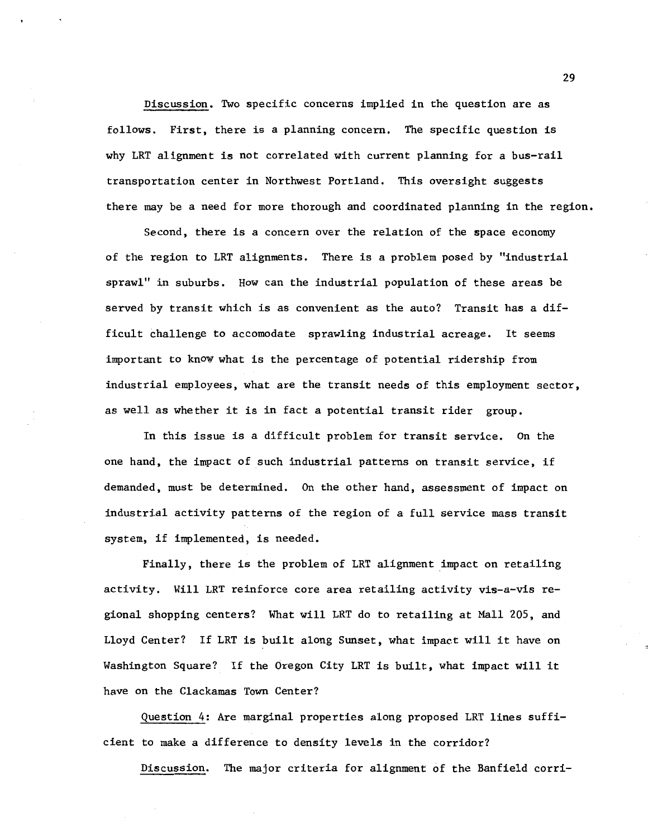Discussion. Two specific concerns implied in the question are as follows. First, there is a planning concern. The specific question is why LRT alignment is not correlated with current planning for a bus-rail transportation center in Northwest Portland. This oversight suggests there may be a need for more thorough and coordinated planning in the region.

Second, there is a concern over the relation of the space economy of the region to LRT alignments. There is a problem posed by "industrial sprawl" in suburbs. How can the industrial population of these areas be served by transit which is as convenient as the auto? Transit has a difficult challenge to accomodate sprawling industrial acreage. It seems important to know what is the percentage of potential ridership from industrial employees, what are the transit needs of this employment sector, as well as whether it is in fact a potential transit rider group.

In this issue is a difficult problem for transit service. On the one hand, the impact of such industrial patterns on transit service, if demanded, must be determined. On the other hand, assessment of impact on industrial activity patterns of the region of a full service mass transit system, if implemented, is needed.

Finally, there is the problem of LRT alignment impact on retailing activity. Will LRT reinforce core area retailing activity vis-a-vis regional shopping centers? What will LRT do to retailing at Mall 205, and Lloyd Center? If LRT is built along Sunset, what impact will it have on Washington Square? If the Oregon City LRT is built, what impact will it have on the Clackamas Town Center?

Question 4: Are marginal properties along proposed LRT lines sufficient to make a difference to density levels in the corridor?

Discussion. The major criteria for alignment of the Banfield corri-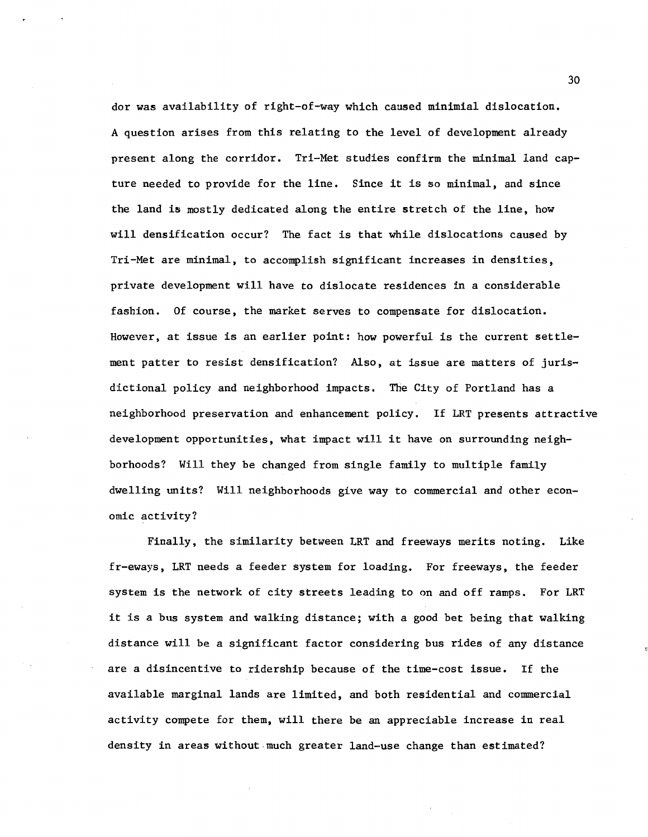dor was availability of right-of-way which caused minimial dislocation. A question arises from this relating to the level of development already present along the corridor. Tri-Met studies confirm the minimal land capture needed to provide for the line. Since it is so minimal, and since the land is mostly dedicated along the entire stretch of the line, how will densification occur? The fact is that while dislocations caused by Tri-Met are minimal, to accomplish significant increases in densities, private development will have to dislocate residences in a considerable fashion. Of course, the market serves to compensate for dislocation. However, at issue is an earlier point: how powerful is the current settlement patter to resist densification? Also, at issue are matters of jurisdictional policy and neighborhood impacts. The City of Portland has a neighborhood preservation and enhancement policy. If LRT presents attractive development opportunities, what impact will it have on surrounding neighborhoods? Will they be changed from single family to multiple family dwelling units? Will neighborhoods give way to commercial and other economic activity?

Finally, the similarity between LRT and freeways merits noting. Like fr-eways, LRT needs a feeder system for loading. For freeways, the feeder system is the network of city streets leading to on and off ramps. For LRT it is a bus system and walking distance; with a good bet being that walking distance will be a significant factor considering bus rides of any distance are a disincentive to ridership because of the time-cost issue. If the available marginal lands are limited, and both residential and commercial activity compete for them, will there be an appreciable increase in real density in areas without much greater land-use change than estimated?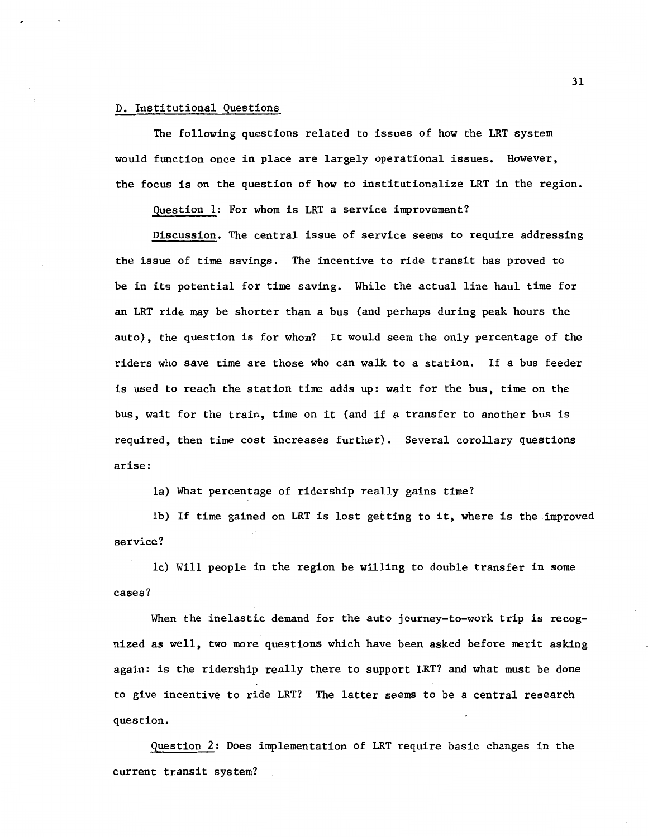## D. Institutional Questions

The following questions related to issues of how the LRT system would function once in place are largely operational issues. However, the focus is on the question of how to institutionalize LRT in the region.

question 1: For whom is LRT a service improvement?

Discussion. The central issue of service seems to require addressing the issue of time savings. The incentive to ride transit has proved to be in its potential for time saving. While the actual line haul time for an LRT ride may be shorter than a bus (and perhaps during peak hours the auto), the question is for whom? It would seem the only percentage of the riders who save time are those who can walk to a station. If a bus feeder is used to reach the station time adds up: wait for the bus, time on the bus, wait for the train, time on it (and if a transfer to another bus is required, then time cost increases further). Several corollary questions arise:

la) What percentage of ridership really gains time?

lb) If time gained on LRT is lost getting to it, where is the.improved service?

lc) Will people in the region be willing to double transfer in some cases?

When the inelastic demand for the auto journey-to-work trip is recognized as well, two more questions which have been asked before merit asking again: is the ridership really there to support LRT? and what must be done to give incentive to ride LRT? The latter seems to be a central research question.

Question 2: Does implementation of LRT require basic changes in the current transit system?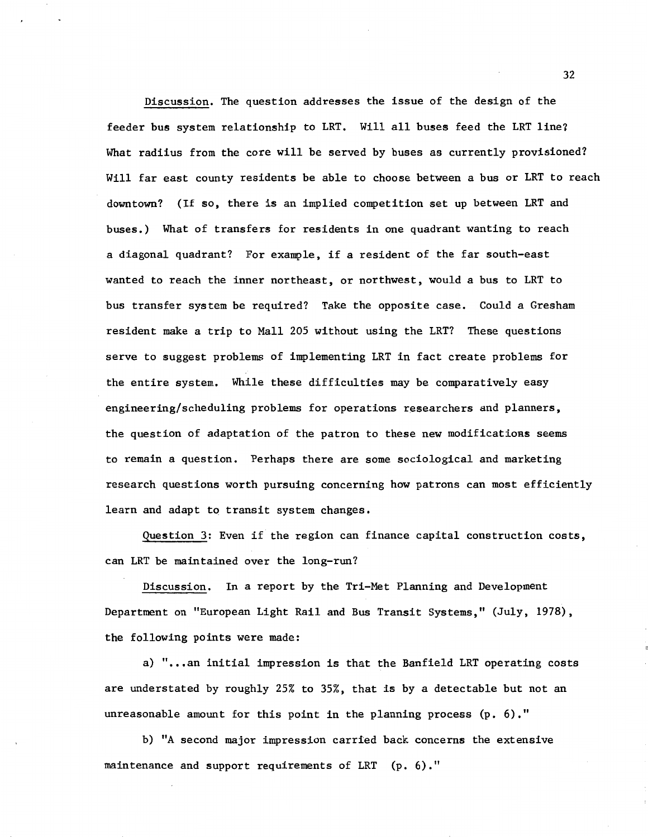Discussion. The question addresses the issue of the design of the feeder bus system relationship to LRT. Will all buses feed the LRT line1 What radiius from the core will be served by buses as currently provisioned? Will far east county residents be able to choose between a bus or LRT to reach downtown? (If so, there is an implied competition set up between LRT and buses.) What of transfers for residents in one quadrant wanting to reach a diagonal quadrant? For example, if a resident of the far south-east wanted to reach the inner northeast, or northwest, would a bus to LRT to bus transfer system be required? Take the opposite case. Could a Gresham resident make a trip to Mall 205 without using the LRT? These questions serve to suggest problems of implementing LRT in fact create problems for the entire system. While these difficulties may be comparatively easy engineering/scheduling problems for operations researchers and planners, the question of adaptation of the patron to these new modificatioas seems to remain a question. Perhaps there are some sociological and marketing research questions worth pursuing concerning how patrons can most efficiently learn and adapt to transit system changes.

Question 3: Even if the region can finance capital construction costs, can LRT be maintained over the long-run?

Discussion. In a report by the Tri-Met Planning and Development Department on "European Light Rail and Bus Transit Systems," (July, 1978), the following points were made:

a) "...an initial impression is that the Banfield LRT operating costs are understated by roughly 25% to 35%, that is by a detectable but not an unreasonable amount for this point in the planning process  $(p, 6)$ ."

b) "A second major impression carried back concerns the extensive maintenance and support requirements of LRT (p. 6)."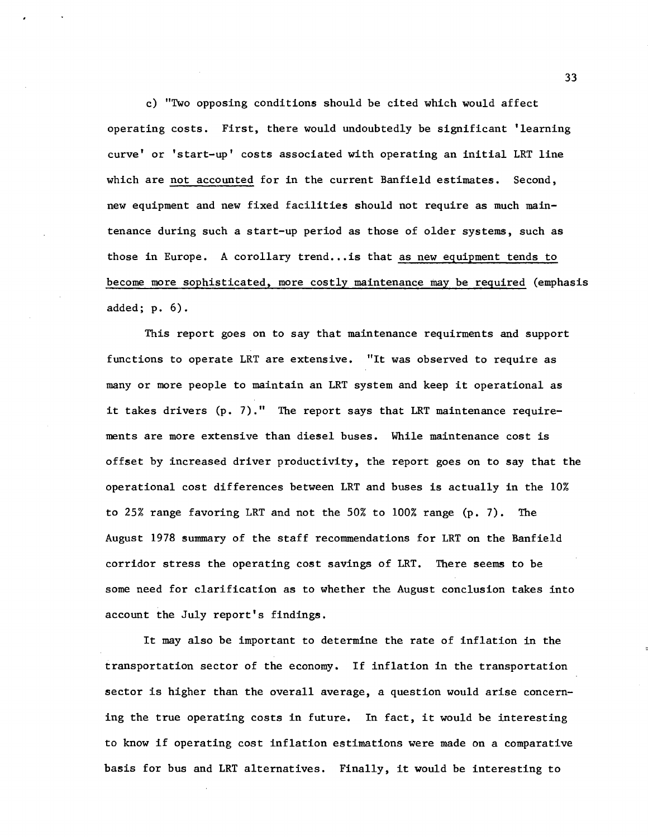c) "Two opposing conditions should be cited which would affect operating costs. First, there would undoubtedly be significant 'learning curve' or 'start-up' costs associated with operating an initial LRT line which are not accounted for in the current Banfield estimates. Second, new equipment and new fixed facilities should not require as much maintenance during such a start-up period as those of older systems, such as those in Europe. A corollary trend... is that as new equipment tends to become more sophisticated, more costly maintenance may be required (emphasis added; p. 6).

This report goes on to say that maintenance requirments and support functions to operate LRT are extensive. "It was observed to require as many or more people to maintain an LRT system and keep it operational as it takes drivers (p. 7)." The report says that LRT maintenance requirements are more extensive than diesel buses. While maintenance cost is offset by increased driver productivity, the report goes on to say that the operational cost differences between LRT and buses is actually in the 10% to 25% range favoring LRT and not the 50% to 100% range (p. 7). The August 1978 summary of the staff recommendations for LRT on the Banfield corridor stress the operating cost savings of LRT. There seems to be some need for clarification as to whether the August conclusion takes into account the July report's findings.

It may also be important to determine the rate of inflation in the transportation sector of the economy. If inflation in the transportation sector is higher than the overall average, a question would arise concerning the true operating costs in future. In fact, it would be interesting to know if operating cost inflation estimations were made on a comparative basis for bus and LRT alternatives. Finally, it would be interesting to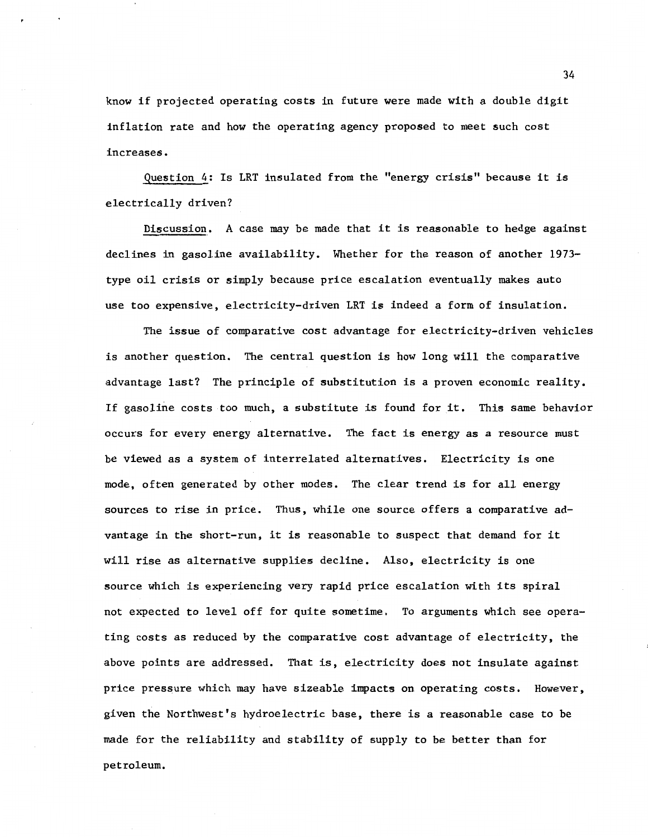know if projected operating costs in future were made with a double digit inflation rate and how the operating agency proposed to meet such cost increases.

Question 4: Is LRT insulated from the "energy crisis" because it is electrically driven?

Discussion. A case may be made that it is reasonable to hedge against declines in gasoline availability. Whether for the reason of another 1973 type oil crisis or simply because price escalation eventually makes auto use too expensive, electricity-driven LRT is indeed a form of insulation.

The issue of comparative cost advantage for electricity-driven vehicles is another question. The central question is how long will the comparative advantage last? The principle of substitution is a proven economic reality. If gasoline costs too much, a substitute is found for it. This same behavior occurs for every energy alternative. The fact is energy as a resource must be viewed as a system of interrelated alternatives. Electricity is one mode, often generated by other modes. The clear trend is for all energy sources to rise in price. Thus, while one source offers a comparative advantage in the short-run, it is reasonable to suspect that demand for it will rise as alternative supplies decline. Also, electricity is one source which is experiencing very rapid price escalation with its spiral not expected to level off for quite sometime. To arguments which see operating costs as reduced by the comparative cost advantage of electricity, the above points are addressed. That is, electricity does not insulate against price pressure which may have sizeable impacts on operating costs. However, given the Northwest's hydroelectric base, there is a reasonable case to be made for the reliability and stability of supply to be better than for petroleum.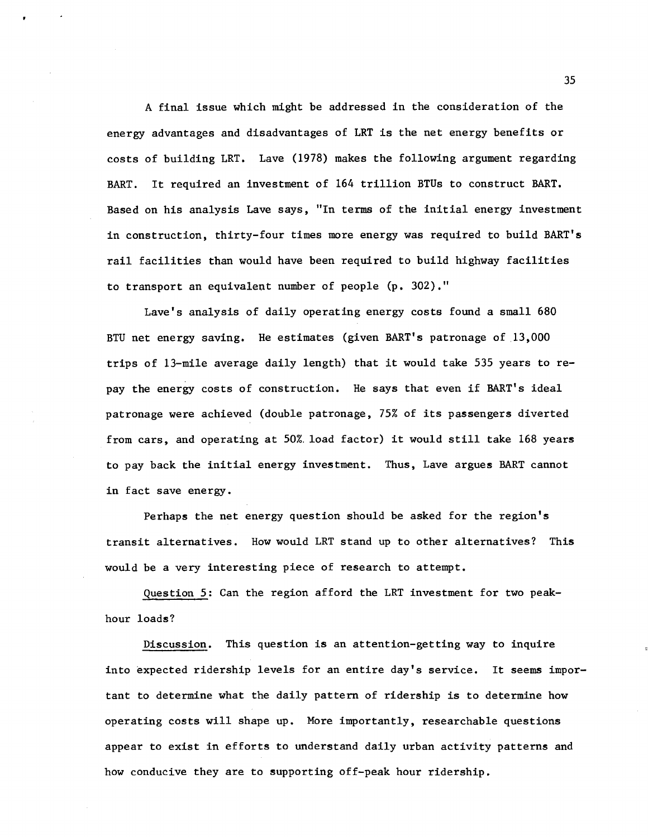A final issue which might be addressed in the consideration of the energy advantages and disadvantages of LRT is the net energy benefits or costs of building LRT. Lave (1978) makes the following argument regarding BART. It required an investment of 164 trillion BTUs to construct BART. Based on his analysis Lave says, "In terms of the initial energy investment in construction, thirty-four times more energy was required to build BART's rail facilities than would have been required to build highway facilities to transport an equivalent number of people (p. 302)."

Lave's analysis of daily operating energy costs found a small 680 BTU net energy saving. He estimates (given BART's patronage of 13,000 trips of 13-mile average daily length) that it would take 535 years to repay the energy costs of construction. He says that even if BART's ideal patronage were achieved (double patronage, 75% of its passengers diverted from cars, and operating at 50%. load factor) it would still take 168 years to pay back the initial energy investment. Thus, Lave argues BART cannot in fact save energy.

Perhaps the net energy question should be asked for the region's transit alternatives. How would LRT stand up to other alternatives? This would be a very interesting piece of research to attempt.

Question 5: Can the region afford the LRT investment for two peakhour loads?

Discussion. This question is an attention-getting way to inquire into expected ridership levels for an entire day's service. It seems important to determine what the daily pattern of ridership is to determine how operating costs will shape up. More importantly, researchable questions appear to exist in efforts to understand daily urban activity patterns and how conducive they are to supporting off-peak hour ridership.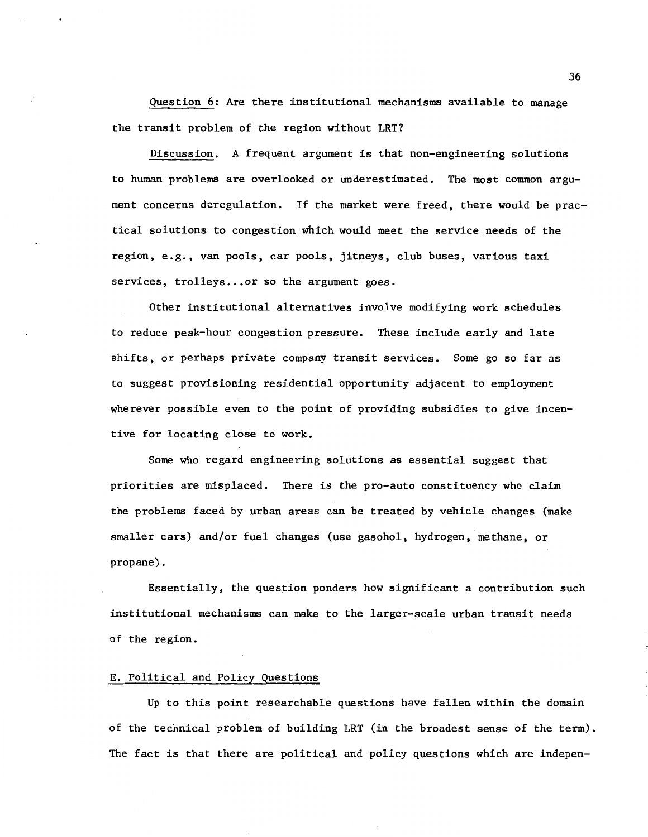Question 6: Are there institutional mechanisms available to manage the transit problem of the region without LRT?

Discussion. A frequent argument is that non-engineering solutions to human problems are overlooked or underestimated. The most common argument concerns deregulation. If the market were freed, there would be practical solutions to congestion which would meet the service needs of the region, e.g., van pools, car pools, jitneys, club buses, various taxi services, trolleys... or so the argument goes.

Other institutional alternatives involve modifying work schedules to reduce peak-hour congestion pressure. These include early and late shifts, or perhaps private company transit services. Some go so far as to suggest provisioning residential opportunity adjacent to employment wherever possible even to the point of providing subsidies to give incentive for locating close to work.

Some who regard engineering solutions as essential suggest that priorities are misplaced. There is the pro-auto constituency who claim the problems faced by urban areas can be treated by vehicle changes (make smaller cars) and/or fuel changes (use gasohol, hydrogen, methane, or propane).

Essentially, the question ponders how significant a contribution such institutional mechanisms can make to the larger-scale urban transit needs of the region.

# E. Political and Policy Questions

Up to this point researchable questions have fallen within the domain of the technical problem of building LRT (in the broadest sense of the term). The fact is that there are political and policy questions which are indepen-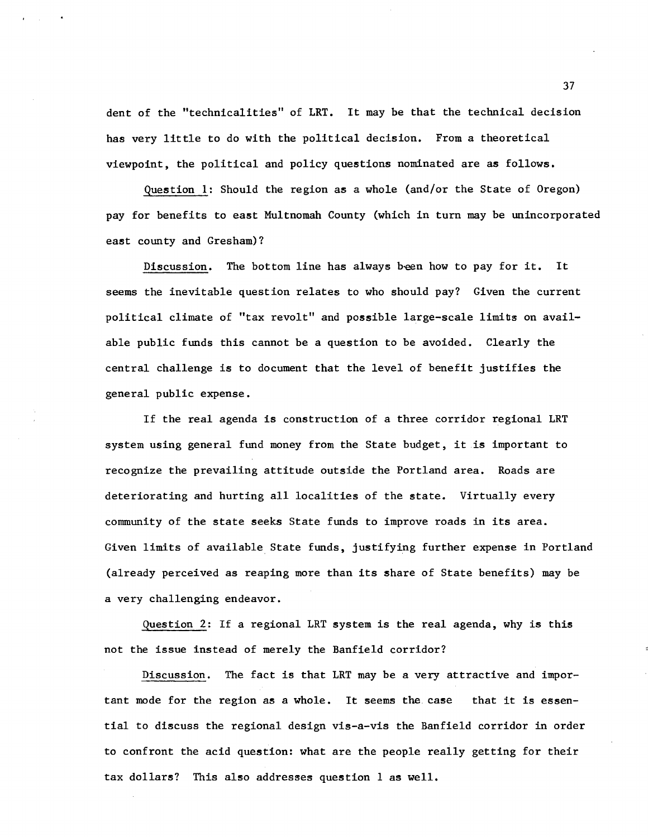dent of the "technicalities" of LRT. It may be that the technical decision has very little to do with the political decision. From a theoretical viewpoint, the political and policy questions nominated are as follows.

Question 1: Should the region as a whole (and/or the State of Oregon) pay for benefits to east Multnomah County (which in turn may be unincorporated east county and Gresham)?

Discussion. The bottom line has always been how to pay for it. It seems the inevitable question relates to who should pay? Given the current political climate of "tax revolt" and possible large-scale limits on available public funds this cannot be a question to be avoided. Clearly the central challenge is to document that the level of benefit justifies the general public expense.

If the real agenda is construction of a three corridor regional LRT system using general fund money from the State budget, it is important to recognize the prevailing attitude outside the Portland area. Roads are deteriorating and hurting all localities of the state. Virtually every community of the state seeks State funds to improve roads in its area. Given limits of available State funds, justifying further expense in Portland (already perceived as reaping more than its share of State benefits) may be a very challenging endeavor.

Question 2: If a regional LRT system is the real agenda, why is this not the issue instead of merely the Banfield corridor?

Discussion. The fact is that LRT may be a very attractive and important mode for the region as a whole. It seems the. case that it is essential to discuss the regional design vis-a-vis the Banfield corridor in order to confront the acid question: what are the people really getting for their tax dollars? This also addresses question 1 as well.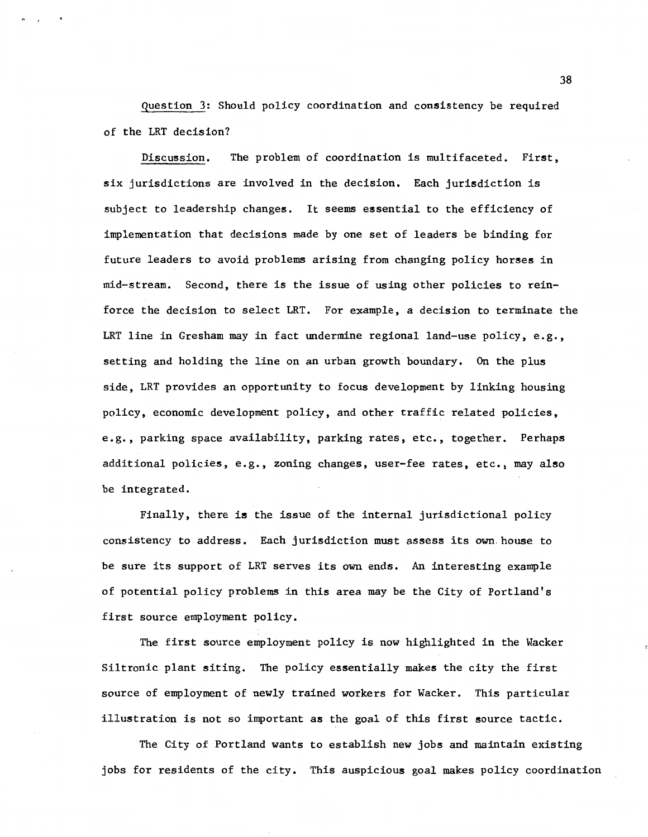Question 3: Should policy coordination and consistency be required of the LRT decision?

Discussion. The problem of coordination is multifaceted. First, six jurisdictions are involved in the decision. Each jurisdiction is subject to leadership changes. It seems essential to the efficiency of implementation that decisions made by one set of leaders be binding for future leaders to avoid problems arising from changing policy horses in mid-stream. Second, there is the issue of using other policies to reinforce the decision to select LRT. For example, a decision to terminate the LRT line in Gresham may in fact undermine regional land-use policy, e.g., setting and holding the line on an urban growth boundary. On the plus side, LRT provides an opportunity to focus development by linking housing policy, economic development policy, and other traffic related policies, e.g., parking space availability, parking rates, etc., together. Perhaps additional policies, e.g., zoning changes, user-fee rates, etc., may also be integrated.

Finally, there is the issue of the internal jurisdictional policy consistency to address. Each jurisdiction must assess its own. house to be sure its support of LRT serves its own ends. An interesting example of potential policy problems in this area may be the City of Portland's first source employment policy.

The first source employment policy is now highlighted in the Wacker Siltronic plant siting. The policy essentially makes the city the first source of employment of newly trained workers for Wacker. This particular illustration is not so important as the goal of this first source tactic.

The City of Portland wants to establish new jobs and maintain existing jobs for residents of the city. This auspicious goal makes policy coordination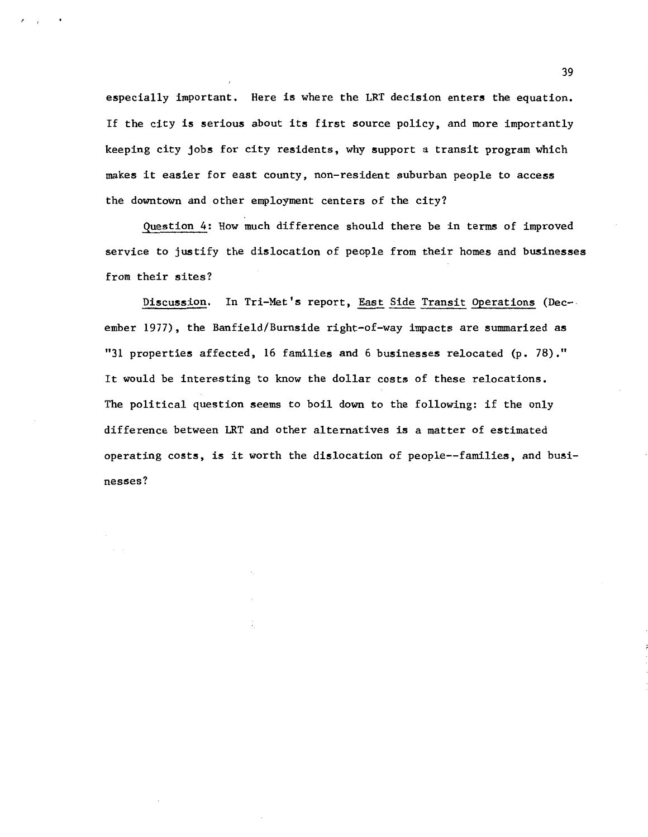especially important. Here is where the LRT decision enters the equation. If the city is serious about its first source policy, and more importantly keeping city jobs for city residents, why support a transit program which makes it easier for east county, non-resident suburban people to access the downtown and other employment centers of the city?

Question 4: How much difference should there be in terms of improved service to justify the dislocation of people from their homes and businesses from their sites?

Discussion. In Tri-Met's report, East Side Transit Operations (Dec-. ember 1977), the Banfield/Burnside right-of-way impacts are summarized as "31 properties affected, 16 families and 6 businesses relocated (p. 78)." It would be interesting to know the dollar costs of these relocations. The political question seems to boil down to the following: if the only difference between LRT and other alternatives is a matter of estimated operating costs, is it worth the dislocation of people--families, and businesses?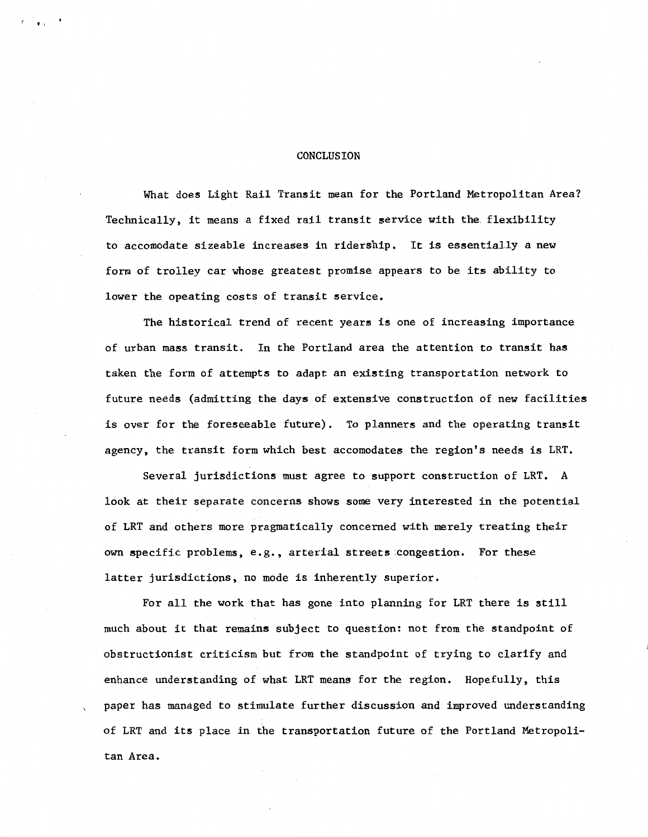#### CONCLUSION

 $\overline{\bullet}$ .

What does Light Rail Transit mean for the Portland Metropolitan Area? Technically, it means a fixed rail transit service with the. flexibility to accomodate sizeable increases in ridership. It is essentially a new form of trolley car whose greatest promise appears to be its ability to lower the opeating costs of transit service.

The historical trend of recent years is one of increasing importance of urban mass transit. In the Portland area the attention to transit has taken the form of attempts to adapt an existing transportation network to future needs (admitting the days of extensive construction of new facilities is over for the foreseeable future). To planners and the operating transit agency, the transit form which best accomodates the region's needs is LRT.

Several jurisdictions must agree to support construction of LRT. A look at their separate concerns shows some very interested in the potential of LRT and others more pragmatically concerned with merely treating their own specific problems, e.g., arterial streets congestion. For these latter jurisdictions, no mode is inherently superior.

For all the work that has gone into planning for LRT there is still much about it that remains subject to question: not from the standpoint of obstructionist criticism but from the standpoint of trying to clarify and enhance understanding of what LRT means for the region. Hopefully, this paper has managed to stimulate further discussion and improved understanding of LRT and its place in the transportation future of the Portland Metropolitan Area.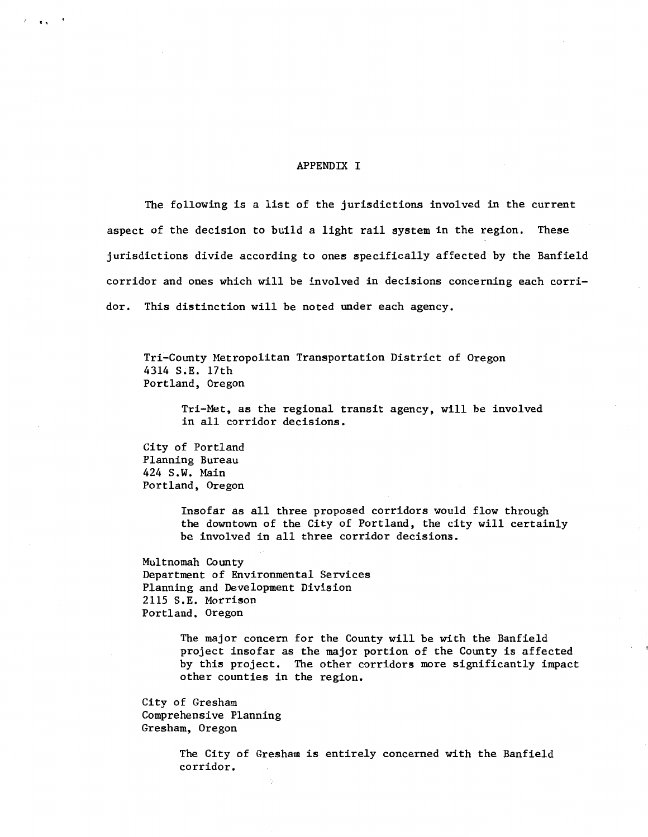#### APPENDIX I

The following is a list of the jurisdictions involved in the current aspect of the decision to build a light rail system in the region. These jurisdictions divide according to ones specifically affected by the Banfield corridor and ones which will be involved in decisions concerning each corridor. This distinction will be noted under each agency.

Tri-County Metropolitan Transportation District of Oregon 4314 S.E. 17th Portland, Oregon

Tri-Met, as the regional transit agency, will be involved in all corridor decisions.

City of Portland Planning Bureau 424 s.w. Main Portland, Oregon

 $\cdots$ 

Insofar as all three proposed corridors would flow through the downtown of the City of Portland, the city will certainly be involved in all three corridor decisions.

Multnomah County Department of Environmental Services Planning and Development Division 2115 S.E. Morrison Portland, Oregon

> The major concern for the County will be with the Banfield project insofar as the major portion of the County is affected by this project. The other corridors more significantly impact other counties in the region.

City of Gresham Comprehensive Planning Gresham, Oregon

> The City of Gresham is entirely concerned with the Banfield corridor.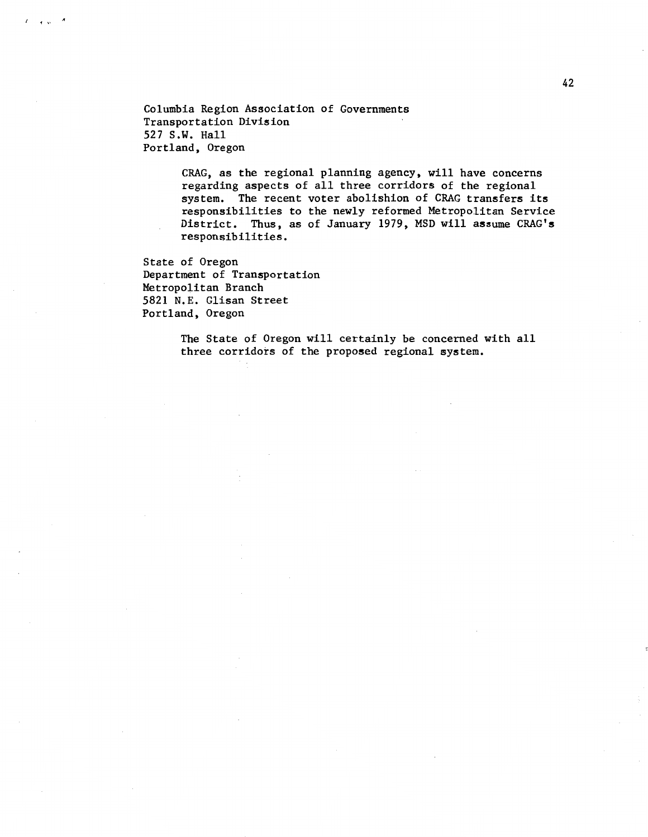Columbia Region Association of Governments Transportation Division 527 S.W. Hall Portland, Oregon

> CRAG, as the regional planning agency, will have concerns regarding aspects of all three corridors of the regional system. The recent voter abolishion of CRAG transfers its responsibilities to the newly reformed Metropolitan Service District. Thus, as of January 1979, MSD will assume CRAG's responsibilities.

State of Oregon Department of Transportation Metropolitan Branch 5821 N.E. Glisan Street Portland, Oregon

 $t \rightarrow \infty$ 

The State of Oregon will certainly be concerned with all three corridors of the proposed regional system.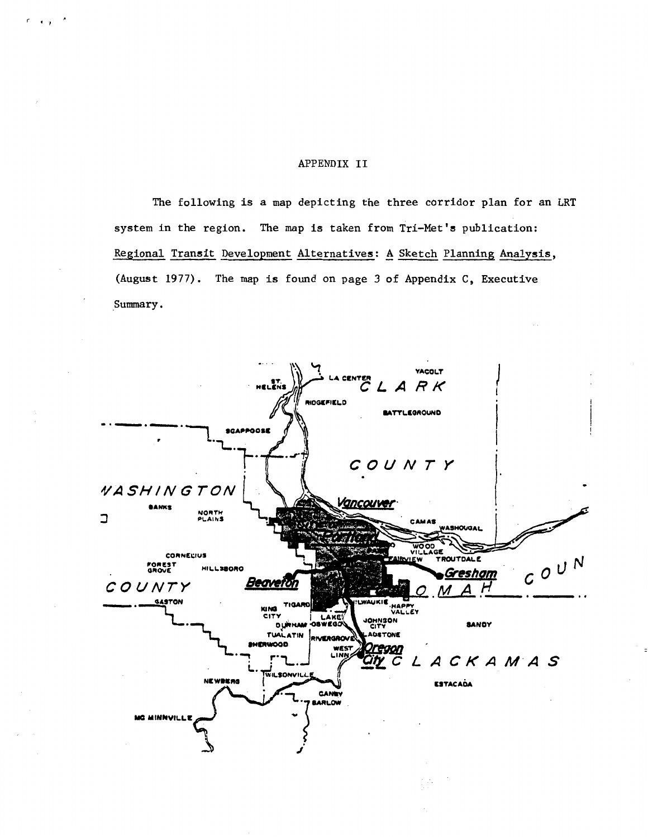# APPENDIX II

,. ~ .,

The following is a map depicting the three corridor plan for an LRT system in the region. The map is taken from Tri-Met's publication: Regional Transit Development Alternatives: A Sketch Planning Analysis, (August 1977). The map is found on page 3 of Appendix C, Executive Summary.